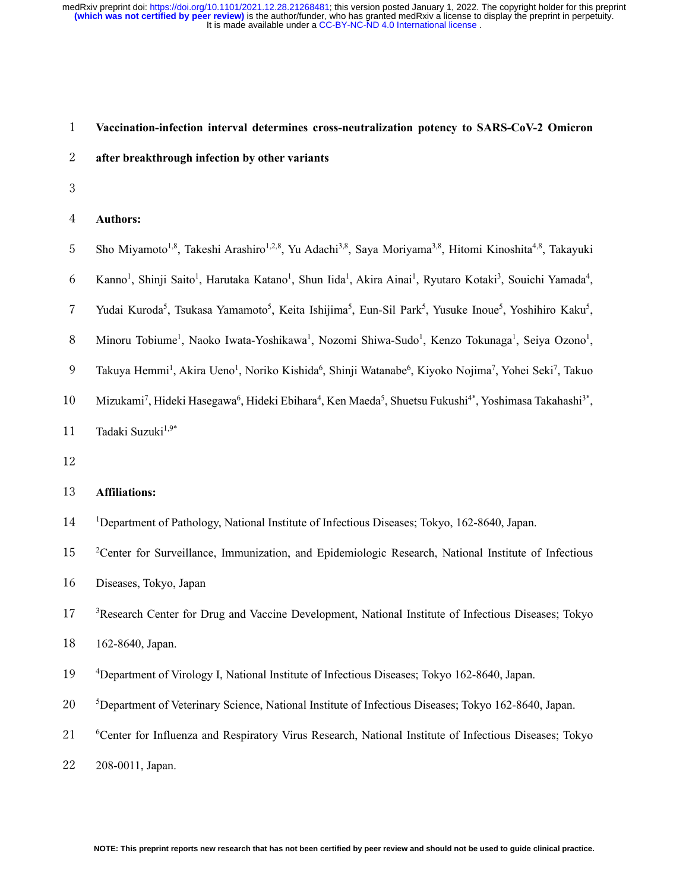# 1 **Vaccination-infection interval determines cross-neutralization potency to SARS-CoV-2 Omicron**

# 2 **after breakthrough infection by other variants**

3

#### 4 **Authors:**

- 5 Sho Miyamoto<sup>1,8</sup>, Takeshi Arashiro<sup>1,2,8</sup>, Yu Adachi<sup>3,8</sup>, Saya Moriyama<sup>3,8</sup>, Hitomi Kinoshita<sup>4,8</sup>, Takayuki
- 6 Kanno<sup>1</sup>, Shinji Saito<sup>1</sup>, Harutaka Katano<sup>1</sup>, Shun Iida<sup>1</sup>, Akira Ainai<sup>1</sup>, Ryutaro Kotaki<sup>3</sup>, Souichi Yamada<sup>4</sup>,
- 7 Yudai Kuroda<sup>5</sup>, Tsukasa Yamamoto<sup>5</sup>, Keita Ishijima<sup>5</sup>, Eun-Sil Park<sup>5</sup>, Yusuke Inoue<sup>5</sup>, Yoshihiro Kaku<sup>5</sup>,
- 8 Minoru Tobiume<sup>1</sup>, Naoko Iwata-Yoshikawa<sup>1</sup>, Nozomi Shiwa-Sudo<sup>1</sup>, Kenzo Tokunaga<sup>1</sup>, Seiya Ozono<sup>1</sup>,
- 9 Takuya Hemmi<sup>1</sup>, Akira Ueno<sup>1</sup>, Noriko Kishida<sup>6</sup>, Shinji Watanabe<sup>6</sup>, Kiyoko Nojima<sup>7</sup>, Yohei Seki<sup>7</sup>, Takuo
- 10 Mizukami<sup>7</sup>, Hideki Hasegawa<sup>6</sup>, Hideki Ebihara<sup>4</sup>, Ken Maeda<sup>5</sup>, Shuetsu Fukushi<sup>4\*</sup>, Yoshimasa Takahashi<sup>3\*</sup>,
- 11 Tadaki Suzuki $1.9*$
- 12

#### 13 **Affiliations:**

- <sup>1</sup> 14 Department of Pathology, National Institute of Infectious Diseases; Tokyo, 162-8640, Japan.
- <sup>2</sup> 2 15 <sup>2</sup> Center for Surveillance, Immunization, and Epidemiologic Research, National Institute of Infectious
- 16 Diseases, Tokyo, Japan
- <sup>3</sup> 17 <sup>3</sup> Research Center for Drug and Vaccine Development, National Institute of Infectious Diseases; Tokyo
- 18 162-8640, Japan.
- <sup>4</sup> 19 Department of Virology I, National Institute of Infectious Diseases; Tokyo 162-8640, Japan.
- <sup>5</sup> 20 Department of Veterinary Science, National Institute of Infectious Diseases; Tokyo 162-8640, Japan.
- 21 <sup>6</sup> 6 <sup>6</sup> Center for Influenza and Respiratory Virus Research, National Institute of Infectious Diseases; Tokyo

22 208-0011, Japan.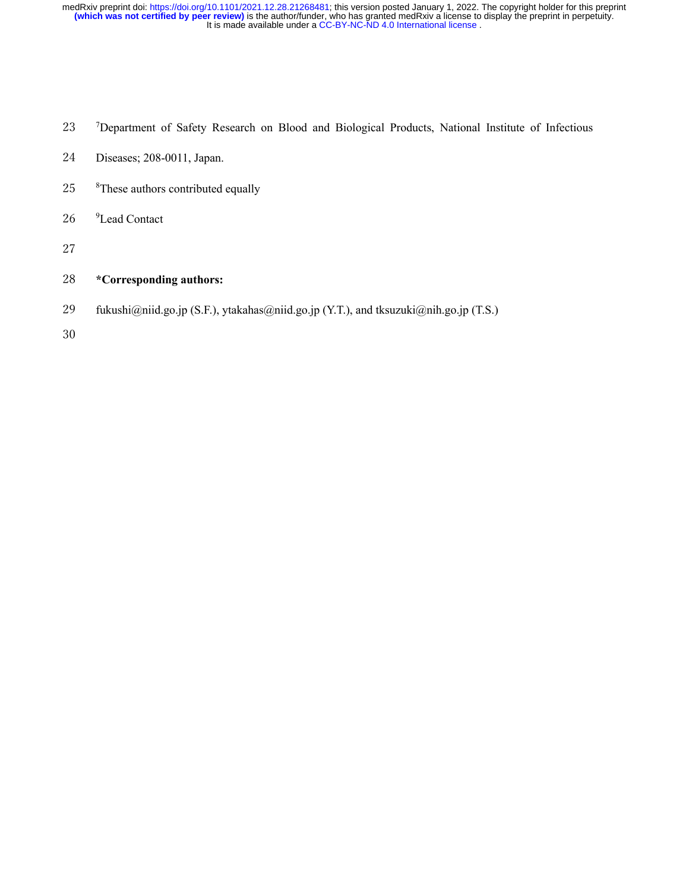- 23 <sup>7</sup>Department of Safety Research on Blood and Biological Products, National Institute of Infectious
- 24 Diseases; 208-0011, Japan.
- 25 <sup>8</sup>These authors contributed equally
- 26 <sup>9</sup>Lead Contact
- 27

# 28 **\*Corresponding authors:**

- 29 fukushi@niid.go.jp (S.F.), ytakahas@niid.go.jp (Y.T.), and tksuzuki@nih.go.jp (T.S.)
- 30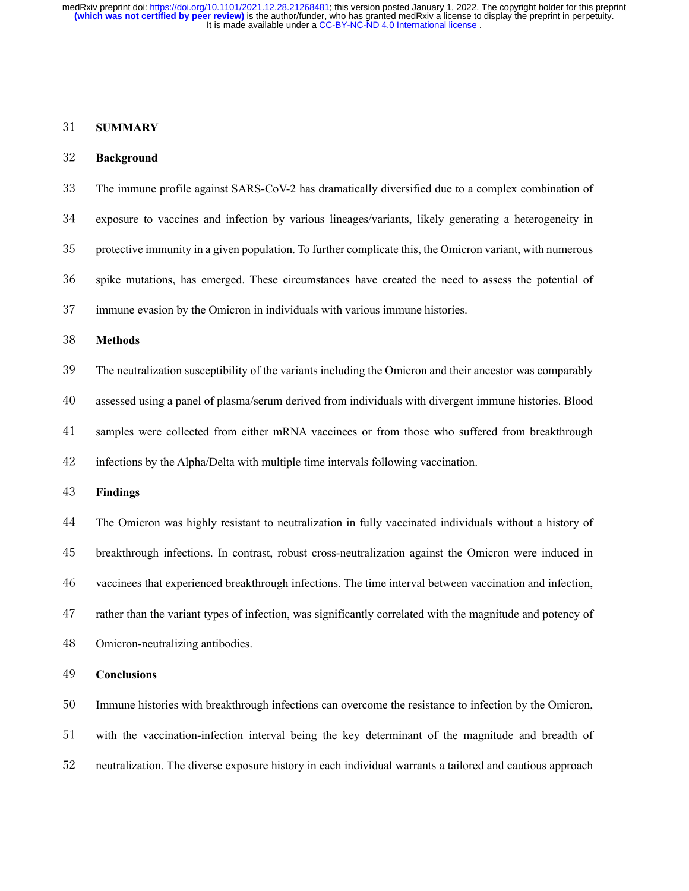#### **SUMMARY**

#### **Background**

 The immune profile against SARS-CoV-2 has dramatically diversified due to a complex combination of exposure to vaccines and infection by various lineages/variants, likely generating a heterogeneity in protective immunity in a given population. To further complicate this, the Omicron variant, with numerous spike mutations, has emerged. These circumstances have created the need to assess the potential of immune evasion by the Omicron in individuals with various immune histories. **Methods** The neutralization susceptibility of the variants including the Omicron and their ancestor was comparably assessed using a panel of plasma/serum derived from individuals with divergent immune histories. Blood samples were collected from either mRNA vaccinees or from those who suffered from breakthrough infections by the Alpha/Delta with multiple time intervals following vaccination. **Findings** The Omicron was highly resistant to neutralization in fully vaccinated individuals without a history of breakthrough infections. In contrast, robust cross-neutralization against the Omicron were induced in vaccinees that experienced breakthrough infections. The time interval between vaccination and infection, rather than the variant types of infection, was significantly correlated with the magnitude and potency of Omicron-neutralizing antibodies. **Conclusions**

 Immune histories with breakthrough infections can overcome the resistance to infection by the Omicron, with the vaccination-infection interval being the key determinant of the magnitude and breadth of neutralization. The diverse exposure history in each individual warrants a tailored and cautious approach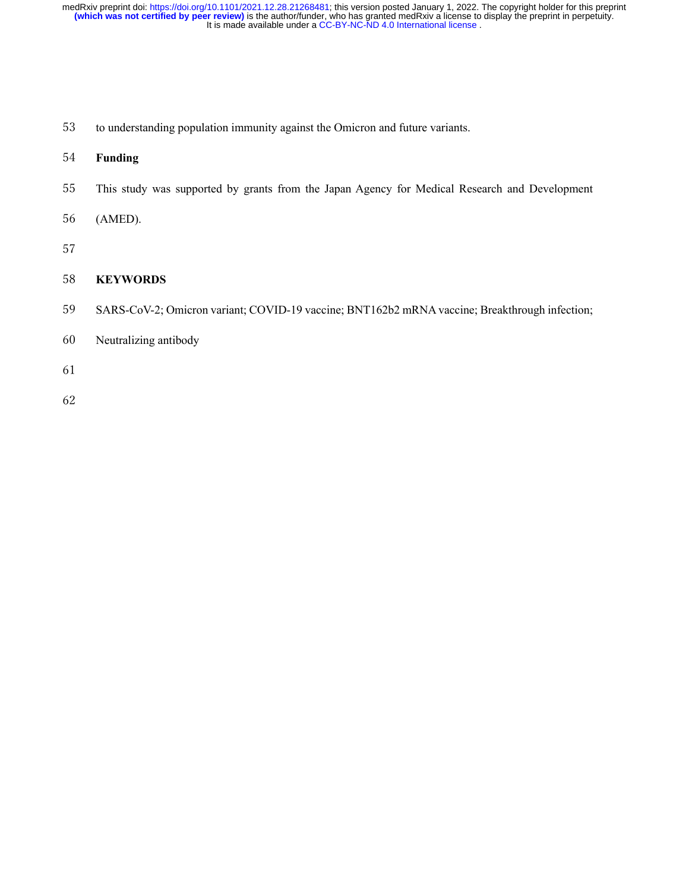- to understanding population immunity against the Omicron and future variants.
- **Funding**
- This study was supported by grants from the Japan Agency for Medical Research and Development
- (AMED).
- 

## **KEYWORDS**

- SARS-CoV-2; Omicron variant; COVID-19 vaccine; BNT162b2 mRNA vaccine; Breakthrough infection;
- Neutralizing antibody
- 
-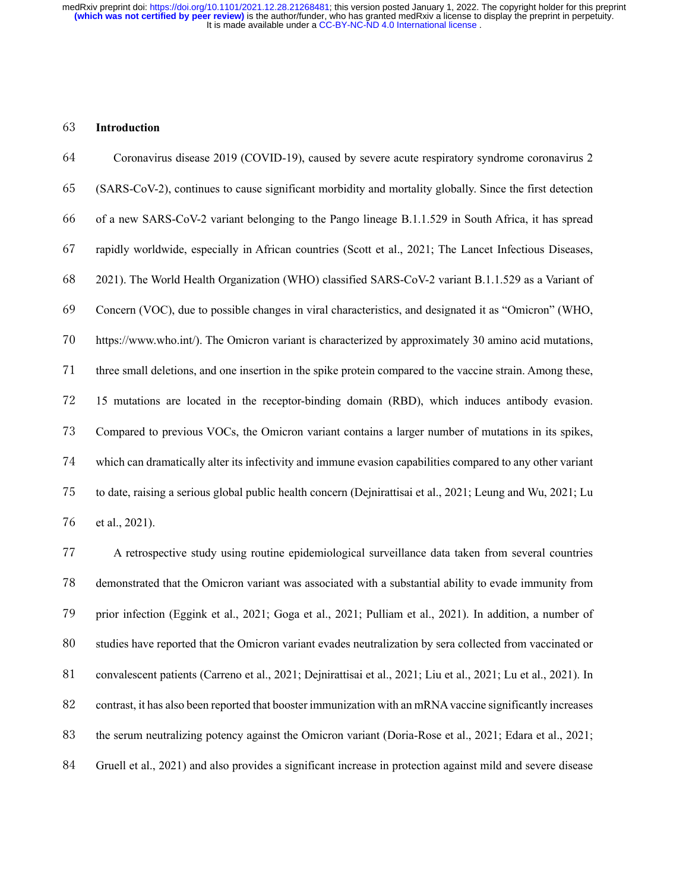#### **Introduction**

 Coronavirus disease 2019 (COVID-19), caused by severe acute respiratory syndrome coronavirus 2 (SARS-CoV-2), continues to cause significant morbidity and mortality globally. Since the first detection of a new SARS-CoV-2 variant belonging to the Pango lineage B.1.1.529 in South Africa, it has spread rapidly worldwide, especially in African countries (Scott et al., 2021; The Lancet Infectious Diseases, 2021). The World Health Organization (WHO) classified SARS-CoV-2 variant B.1.1.529 as a Variant of Concern (VOC), due to possible changes in viral characteristics, and designated it as "Omicron" (WHO, https://www.who.int/). The Omicron variant is characterized by approximately 30 amino acid mutations, three small deletions, and one insertion in the spike protein compared to the vaccine strain. Among these, 15 mutations are located in the receptor-binding domain (RBD), which induces antibody evasion. Compared to previous VOCs, the Omicron variant contains a larger number of mutations in its spikes, which can dramatically alter its infectivity and immune evasion capabilities compared to any other variant to date, raising a serious global public health concern (Dejnirattisai et al., 2021; Leung and Wu, 2021; Lu et al., 2021).

 A retrospective study using routine epidemiological surveillance data taken from several countries demonstrated that the Omicron variant was associated with a substantial ability to evade immunity from prior infection (Eggink et al., 2021; Goga et al., 2021; Pulliam et al., 2021). In addition, a number of studies have reported that the Omicron variant evades neutralization by sera collected from vaccinated or convalescent patients (Carreno et al., 2021; Dejnirattisai et al., 2021; Liu et al., 2021; Lu et al., 2021). In contrast, it has also been reported that booster immunization with an mRNA vaccine significantly increases the serum neutralizing potency against the Omicron variant (Doria-Rose et al., 2021; Edara et al., 2021; Gruell et al., 2021) and also provides a significant increase in protection against mild and severe disease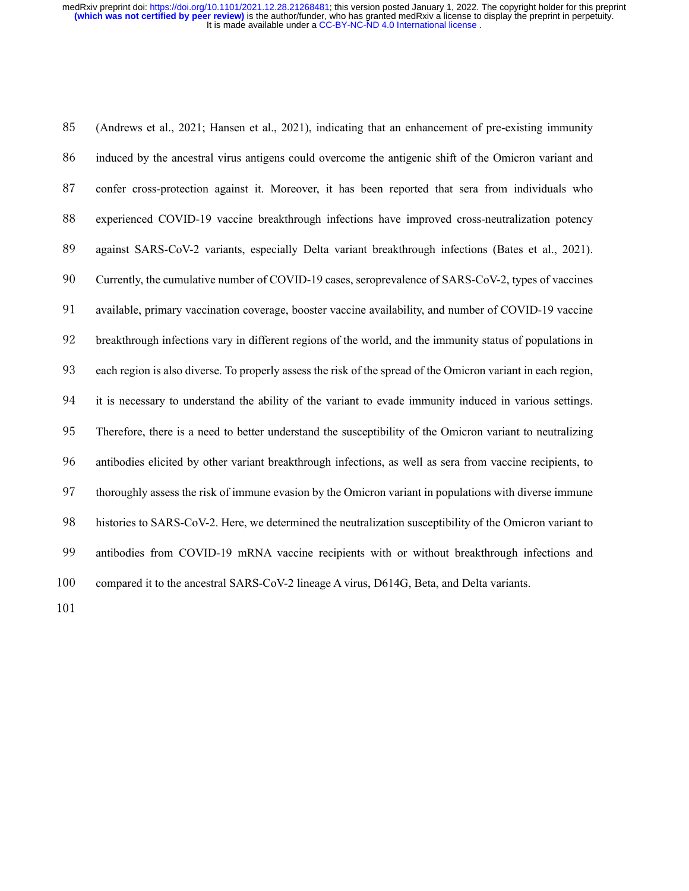(Andrews et al., 2021; Hansen et al., 2021), indicating that an enhancement of pre-existing immunity induced by the ancestral virus antigens could overcome the antigenic shift of the Omicron variant and confer cross-protection against it. Moreover, it has been reported that sera from individuals who experienced COVID-19 vaccine breakthrough infections have improved cross-neutralization potency against SARS-CoV-2 variants, especially Delta variant breakthrough infections (Bates et al., 2021). Currently, the cumulative number of COVID-19 cases, seroprevalence of SARS-CoV-2, types of vaccines available, primary vaccination coverage, booster vaccine availability, and number of COVID-19 vaccine breakthrough infections vary in different regions of the world, and the immunity status of populations in each region is also diverse. To properly assess the risk of the spread of the Omicron variant in each region, it is necessary to understand the ability of the variant to evade immunity induced in various settings. Therefore, there is a need to better understand the susceptibility of the Omicron variant to neutralizing antibodies elicited by other variant breakthrough infections, as well as sera from vaccine recipients, to thoroughly assess the risk of immune evasion by the Omicron variant in populations with diverse immune histories to SARS-CoV-2. Here, we determined the neutralization susceptibility of the Omicron variant to antibodies from COVID-19 mRNA vaccine recipients with or without breakthrough infections and compared it to the ancestral SARS-CoV-2 lineage A virus, D614G, Beta, and Delta variants.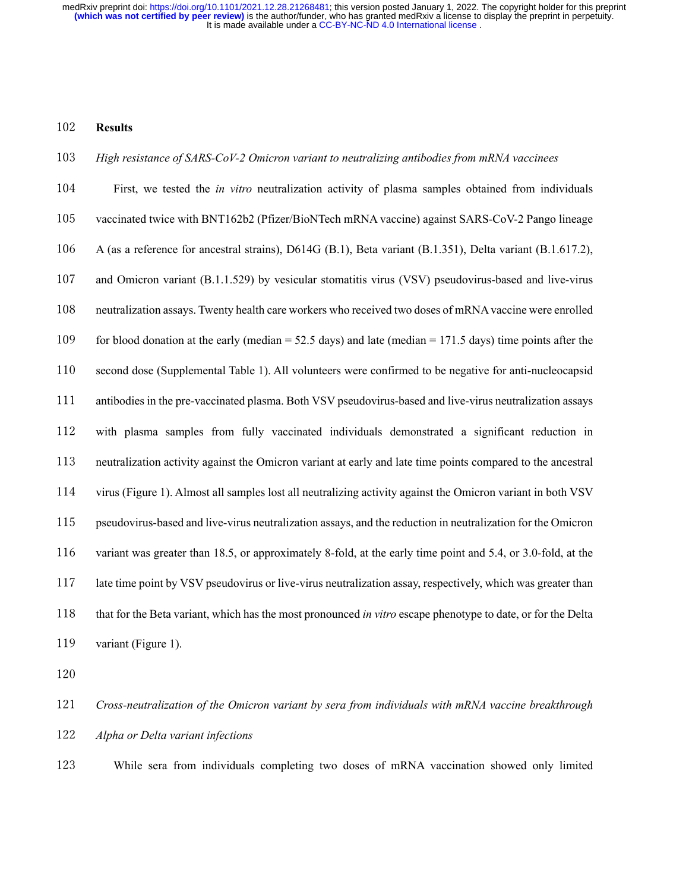#### **Results**

#### *High resistance of SARS-CoV-2 Omicron variant to neutralizing antibodies from mRNA vaccinees*

 First, we tested the *in vitro* neutralization activity of plasma samples obtained from individuals vaccinated twice with BNT162b2 (Pfizer/BioNTech mRNA vaccine) against SARS-CoV-2 Pango lineage A (as a reference for ancestral strains), D614G (B.1), Beta variant (B.1.351), Delta variant (B.1.617.2), and Omicron variant (B.1.1.529) by vesicular stomatitis virus (VSV) pseudovirus-based and live-virus neutralization assays. Twenty health care workers who received two doses of mRNA vaccine were enrolled for blood donation at the early (median = 52.5 days) and late (median = 171.5 days) time points after the second dose (Supplemental Table 1). All volunteers were confirmed to be negative for anti-nucleocapsid antibodies in the pre-vaccinated plasma. Both VSV pseudovirus-based and live-virus neutralization assays with plasma samples from fully vaccinated individuals demonstrated a significant reduction in neutralization activity against the Omicron variant at early and late time points compared to the ancestral virus (Figure 1). Almost all samples lost all neutralizing activity against the Omicron variant in both VSV pseudovirus-based and live-virus neutralization assays, and the reduction in neutralization for the Omicron variant was greater than 18.5, or approximately 8-fold, at the early time point and 5.4, or 3.0-fold, at the late time point by VSV pseudovirus or live-virus neutralization assay, respectively, which was greater than that for the Beta variant, which has the most pronounced *in vitro* escape phenotype to date, or for the Delta 119 variant (Figure 1).

 *Cross-neutralization of the Omicron variant by sera from individuals with mRNA vaccine breakthrough Alpha or Delta variant infections*

While sera from individuals completing two doses of mRNA vaccination showed only limited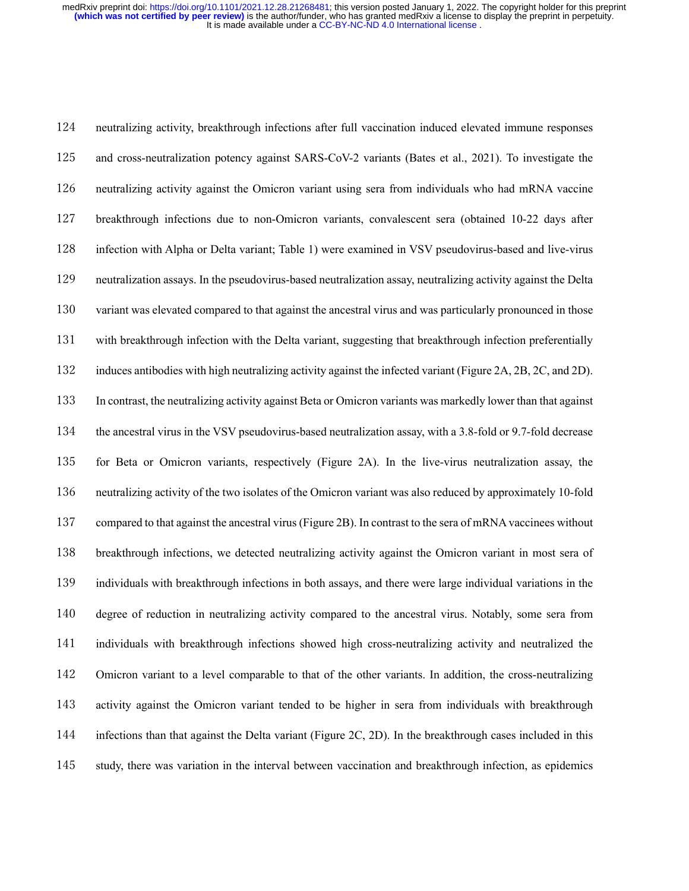neutralizing activity, breakthrough infections after full vaccination induced elevated immune responses and cross-neutralization potency against SARS-CoV-2 variants (Bates et al., 2021). To investigate the neutralizing activity against the Omicron variant using sera from individuals who had mRNA vaccine breakthrough infections due to non-Omicron variants, convalescent sera (obtained 10-22 days after infection with Alpha or Delta variant; Table 1) were examined in VSV pseudovirus-based and live-virus neutralization assays. In the pseudovirus-based neutralization assay, neutralizing activity against the Delta 130 variant was elevated compared to that against the ancestral virus and was particularly pronounced in those with breakthrough infection with the Delta variant, suggesting that breakthrough infection preferentially induces antibodies with high neutralizing activity against the infected variant (Figure 2A, 2B, 2C, and 2D). In contrast, the neutralizing activity against Beta or Omicron variants was markedly lower than that against the ancestral virus in the VSV pseudovirus-based neutralization assay, with a 3.8-fold or 9.7-fold decrease for Beta or Omicron variants, respectively (Figure 2A). In the live-virus neutralization assay, the neutralizing activity of the two isolates of the Omicron variant was also reduced by approximately 10-fold compared to that against the ancestral virus(Figure 2B). In contrast to the sera of mRNA vaccinees without breakthrough infections, we detected neutralizing activity against the Omicron variant in most sera of individuals with breakthrough infections in both assays, and there were large individual variations in the degree of reduction in neutralizing activity compared to the ancestral virus. Notably, some sera from individuals with breakthrough infections showed high cross-neutralizing activity and neutralized the Omicron variant to a level comparable to that of the other variants. In addition, the cross-neutralizing activity against the Omicron variant tended to be higher in sera from individuals with breakthrough 144 infections than that against the Delta variant (Figure 2C, 2D). In the breakthrough cases included in this study, there was variation in the interval between vaccination and breakthrough infection, as epidemics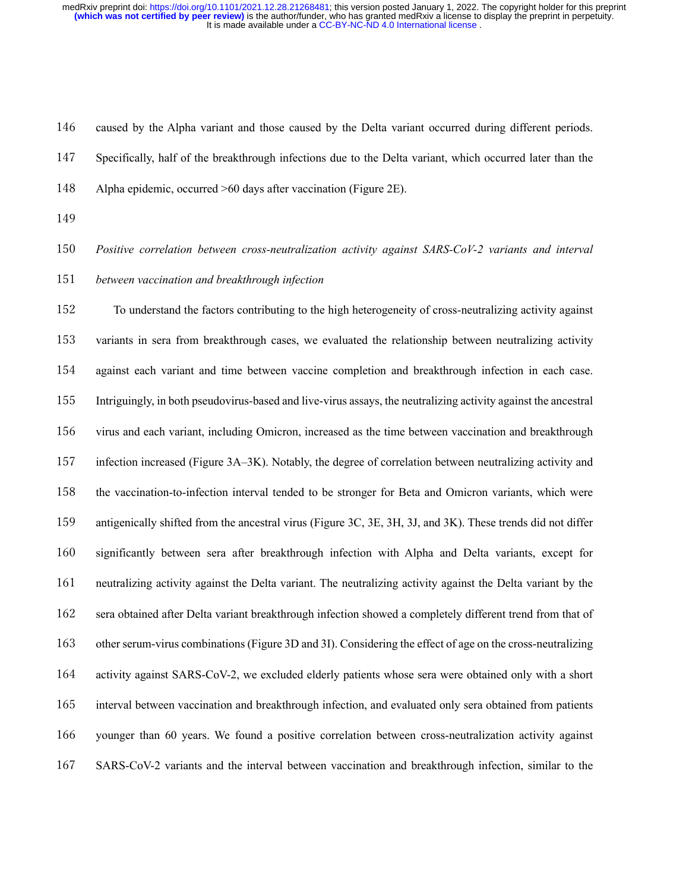caused by the Alpha variant and those caused by the Delta variant occurred during different periods.

Specifically, half of the breakthrough infections due to the Delta variant, which occurred later than the

Alpha epidemic, occurred >60 days after vaccination (Figure 2E).

*Positive correlation between cross-neutralization activity against SARS-CoV-2 variants and interval* 

*between vaccination and breakthrough infection*

 To understand the factors contributing to the high heterogeneity of cross-neutralizing activity against variants in sera from breakthrough cases, we evaluated the relationship between neutralizing activity against each variant and time between vaccine completion and breakthrough infection in each case. Intriguingly, in both pseudovirus-based and live-virus assays, the neutralizing activity against the ancestral virus and each variant, including Omicron, increased as the time between vaccination and breakthrough infection increased (Figure 3A–3K). Notably, the degree of correlation between neutralizing activity and the vaccination-to-infection interval tended to be stronger for Beta and Omicron variants, which were antigenically shifted from the ancestral virus (Figure 3C, 3E, 3H, 3J, and 3K). These trends did not differ significantly between sera after breakthrough infection with Alpha and Delta variants, except for neutralizing activity against the Delta variant. The neutralizing activity against the Delta variant by the sera obtained after Delta variant breakthrough infection showed a completely different trend from that of other serum-virus combinations (Figure 3D and 3I). Considering the effect of age on the cross-neutralizing activity against SARS-CoV-2, we excluded elderly patients whose sera were obtained only with a short interval between vaccination and breakthrough infection, and evaluated only sera obtained from patients younger than 60 years. We found a positive correlation between cross-neutralization activity against SARS-CoV-2 variants and the interval between vaccination and breakthrough infection, similar to the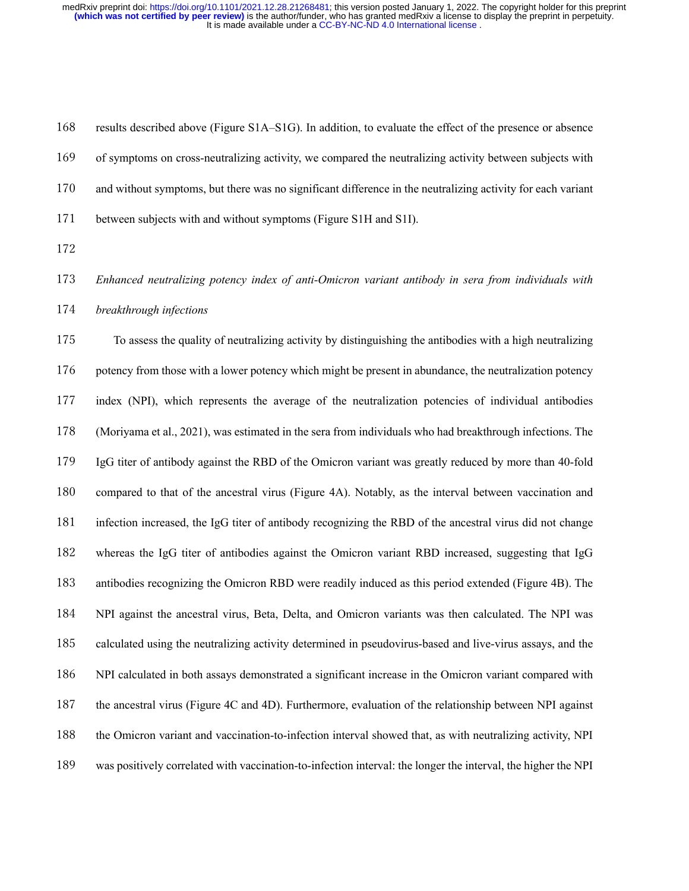results described above (Figure S1A–S1G). In addition, to evaluate the effect of the presence or absence of symptoms on cross-neutralizing activity, we compared the neutralizing activity between subjects with and without symptoms, but there was no significant difference in the neutralizing activity for each variant between subjects with and without symptoms (Figure S1H and S1I).

 *Enhanced neutralizing potency index of anti-Omicron variant antibody in sera from individuals with breakthrough infections*

 To assess the quality of neutralizing activity by distinguishing the antibodies with a high neutralizing potency from those with a lower potency which might be present in abundance, the neutralization potency index (NPI), which represents the average of the neutralization potencies of individual antibodies (Moriyama et al., 2021), was estimated in the sera from individuals who had breakthrough infections. The IgG titer of antibody against the RBD of the Omicron variant was greatly reduced by more than 40-fold compared to that of the ancestral virus (Figure 4A). Notably, as the interval between vaccination and infection increased, the IgG titer of antibody recognizing the RBD of the ancestral virus did not change whereas the IgG titer of antibodies against the Omicron variant RBD increased, suggesting that IgG antibodies recognizing the Omicron RBD were readily induced as this period extended (Figure 4B). The NPI against the ancestral virus, Beta, Delta, and Omicron variants was then calculated. The NPI was calculated using the neutralizing activity determined in pseudovirus-based and live-virus assays, and the NPI calculated in both assays demonstrated a significant increase in the Omicron variant compared with the ancestral virus (Figure 4C and 4D). Furthermore, evaluation of the relationship between NPI against the Omicron variant and vaccination-to-infection interval showed that, as with neutralizing activity, NPI was positively correlated with vaccination-to-infection interval: the longer the interval, the higher the NPI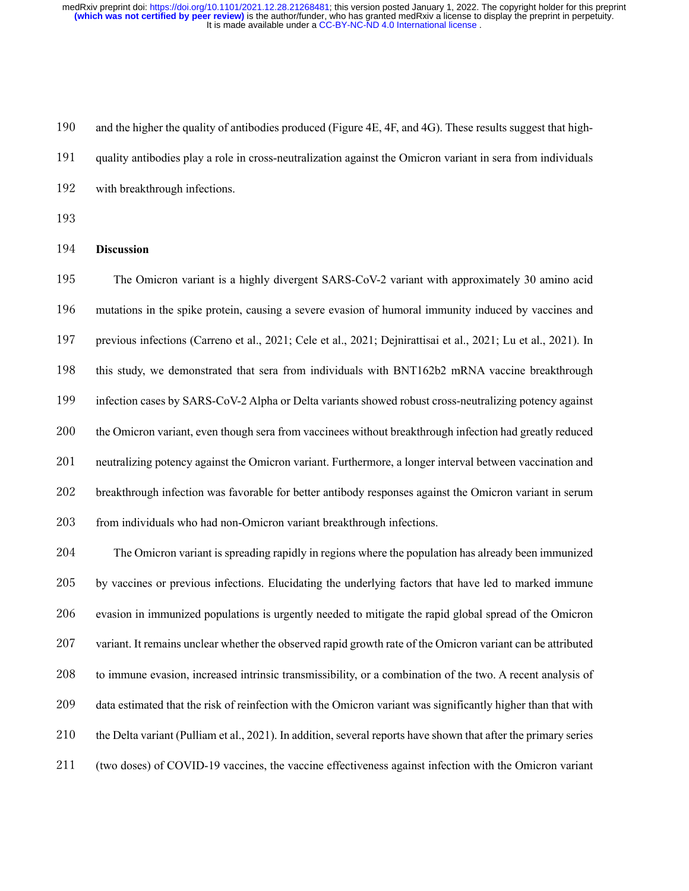and the higher the quality of antibodies produced (Figure 4E, 4F, and 4G). These results suggest that high- quality antibodies play a role in cross-neutralization against the Omicron variant in sera from individuals with breakthrough infections. **Discussion** The Omicron variant is a highly divergent SARS-CoV-2 variant with approximately 30 amino acid mutations in the spike protein, causing a severe evasion of humoral immunity induced by vaccines and previous infections (Carreno et al., 2021; Cele et al., 2021; Dejnirattisai et al., 2021; Lu et al., 2021). In this study, we demonstrated that sera from individuals with BNT162b2 mRNA vaccine breakthrough infection cases by SARS-CoV-2 Alpha or Delta variants showed robust cross-neutralizing potency against the Omicron variant, even though sera from vaccinees without breakthrough infection had greatly reduced neutralizing potency against the Omicron variant. Furthermore, a longer interval between vaccination and breakthrough infection was favorable for better antibody responses against the Omicron variant in serum 203 from individuals who had non-Omicron variant breakthrough infections. The Omicron variant is spreading rapidly in regions where the population has already been immunized by vaccines or previous infections. Elucidating the underlying factors that have led to marked immune evasion in immunized populations is urgently needed to mitigate the rapid global spread of the Omicron

 variant. It remains unclear whether the observed rapid growth rate of the Omicron variant can be attributed to immune evasion, increased intrinsic transmissibility, or a combination of the two. A recent analysis of data estimated that the risk of reinfection with the Omicron variant was significantly higher than that with the Delta variant (Pulliam et al., 2021). In addition, several reports have shown that after the primary series (two doses) of COVID-19 vaccines, the vaccine effectiveness against infection with the Omicron variant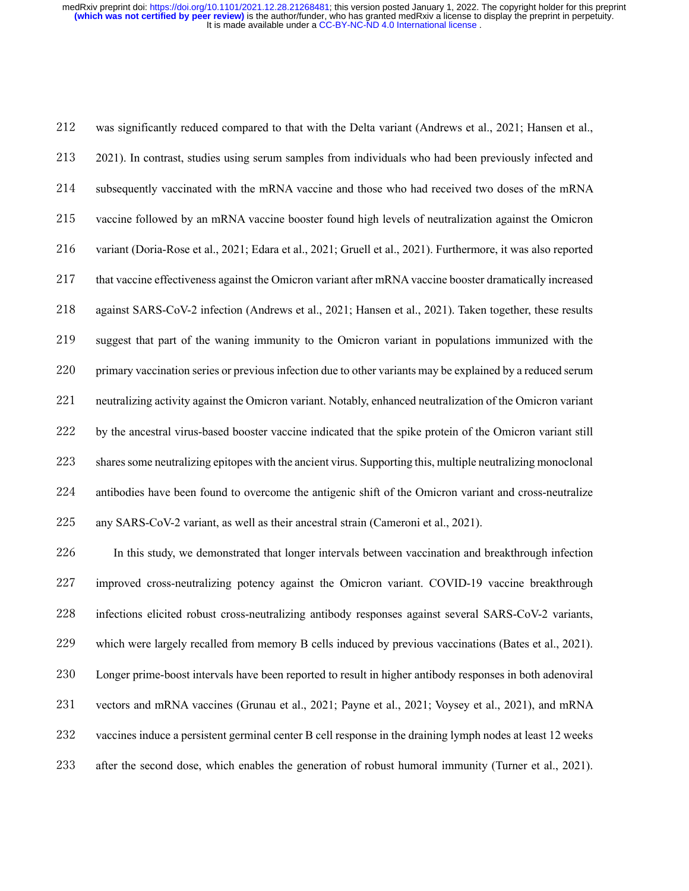was significantly reduced compared to that with the Delta variant (Andrews et al., 2021; Hansen et al., 2021). In contrast, studies using serum samples from individuals who had been previously infected and subsequently vaccinated with the mRNA vaccine and those who had received two doses of the mRNA vaccine followed by an mRNA vaccine booster found high levels of neutralization against the Omicron variant (Doria-Rose et al., 2021; Edara et al., 2021; Gruell et al., 2021). Furthermore, it was also reported that vaccine effectiveness against the Omicron variant after mRNA vaccine booster dramatically increased against SARS-CoV-2 infection (Andrews et al., 2021; Hansen et al., 2021). Taken together, these results suggest that part of the waning immunity to the Omicron variant in populations immunized with the primary vaccination series or previous infection due to other variants may be explained by a reduced serum neutralizing activity against the Omicron variant. Notably, enhanced neutralization of the Omicron variant by the ancestral virus-based booster vaccine indicated that the spike protein of the Omicron variant still shares some neutralizing epitopes with the ancient virus. Supporting this, multiple neutralizing monoclonal antibodies have been found to overcome the antigenic shift of the Omicron variant and cross-neutralize any SARS-CoV-2 variant, as well as their ancestral strain (Cameroni et al., 2021).

 In this study, we demonstrated that longer intervals between vaccination and breakthrough infection improved cross-neutralizing potency against the Omicron variant. COVID-19 vaccine breakthrough infections elicited robust cross-neutralizing antibody responses against several SARS-CoV-2 variants, which were largely recalled from memory B cells induced by previous vaccinations (Bates et al., 2021). Longer prime-boost intervals have been reported to result in higher antibody responses in both adenoviral vectors and mRNA vaccines (Grunau et al., 2021; Payne et al., 2021; Voysey et al., 2021), and mRNA vaccines induce a persistent germinal center B cell response in the draining lymph nodes at least 12 weeks after the second dose, which enables the generation of robust humoral immunity (Turner et al., 2021).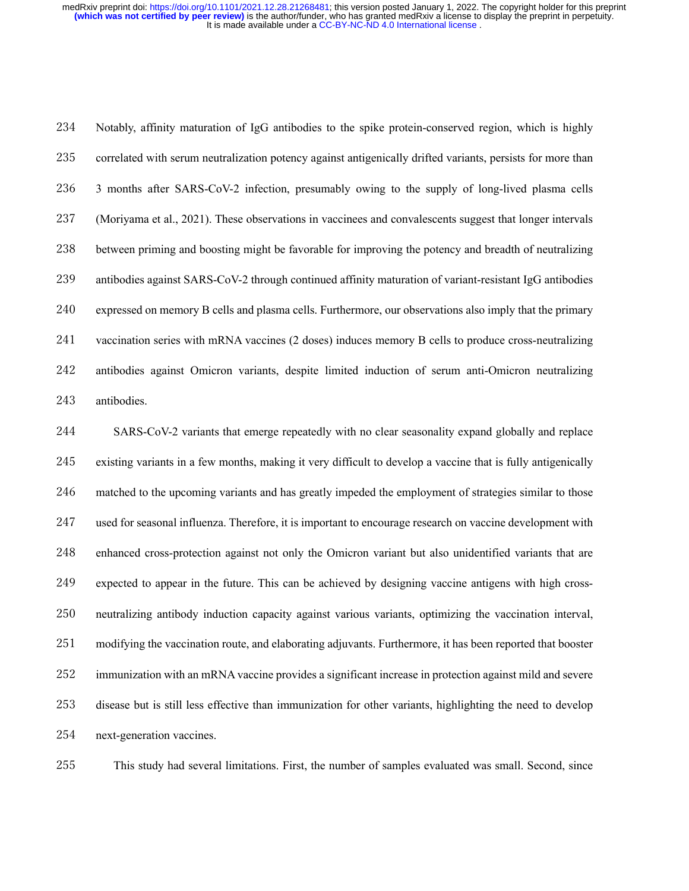Notably, affinity maturation of IgG antibodies to the spike protein-conserved region, which is highly correlated with serum neutralization potency against antigenically drifted variants, persists for more than 3 months after SARS-CoV-2 infection, presumably owing to the supply of long-lived plasma cells (Moriyama et al., 2021). These observations in vaccinees and convalescents suggest that longer intervals between priming and boosting might be favorable for improving the potency and breadth of neutralizing antibodies against SARS-CoV-2 through continued affinity maturation of variant-resistant IgG antibodies expressed on memory B cells and plasma cells. Furthermore, our observations also imply that the primary vaccination series with mRNA vaccines (2 doses) induces memory B cells to produce cross-neutralizing antibodies against Omicron variants, despite limited induction of serum anti-Omicron neutralizing antibodies.

 SARS-CoV-2 variants that emerge repeatedly with no clear seasonality expand globally and replace existing variants in a few months, making it very difficult to develop a vaccine that is fully antigenically matched to the upcoming variants and has greatly impeded the employment of strategies similar to those used for seasonal influenza. Therefore, it is important to encourage research on vaccine development with enhanced cross-protection against not only the Omicron variant but also unidentified variants that are expected to appear in the future. This can be achieved by designing vaccine antigens with high cross- neutralizing antibody induction capacity against various variants, optimizing the vaccination interval, modifying the vaccination route, and elaborating adjuvants. Furthermore, it has been reported that booster immunization with an mRNA vaccine provides a significant increase in protection against mild and severe disease but is still less effective than immunization for other variants, highlighting the need to develop next-generation vaccines.

This study had several limitations. First, the number of samples evaluated was small. Second, since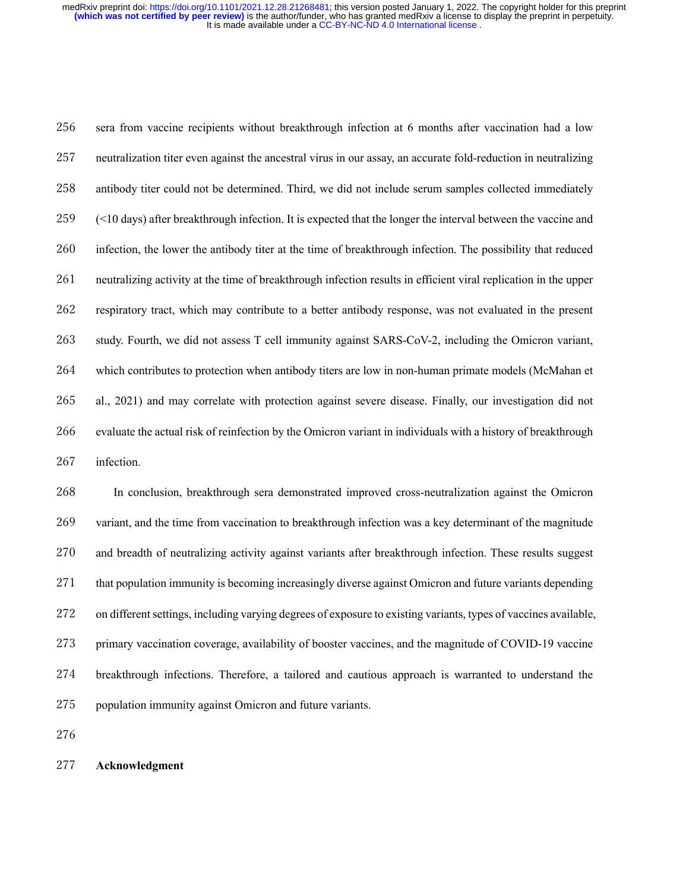sera from vaccine recipients without breakthrough infection at 6 months after vaccination had a low neutralization titer even against the ancestral virus in our assay, an accurate fold-reduction in neutralizing antibody titer could not be determined. Third, we did not include serum samples collected immediately (<10 days) after breakthrough infection. It is expected that the longer the interval between the vaccine and infection, the lower the antibody titer at the time of breakthrough infection. The possibility that reduced neutralizing activity at the time of breakthrough infection results in efficient viral replication in the upper respiratory tract, which may contribute to a better antibody response, was not evaluated in the present study. Fourth, we did not assess T cell immunity against SARS-CoV-2, including the Omicron variant, which contributes to protection when antibody titers are low in non-human primate models (McMahan et al., 2021) and may correlate with protection against severe disease. Finally, our investigation did not evaluate the actual risk of reinfection by the Omicron variant in individuals with a history of breakthrough infection.

 In conclusion, breakthrough sera demonstrated improved cross-neutralization against the Omicron variant, and the time from vaccination to breakthrough infection was a key determinant of the magnitude and breadth of neutralizing activity against variants after breakthrough infection. These results suggest that population immunity is becoming increasingly diverse against Omicron and future variants depending on different settings, including varying degrees of exposure to existing variants, types of vaccines available, primary vaccination coverage, availability of booster vaccines, and the magnitude of COVID-19 vaccine breakthrough infections. Therefore, a tailored and cautious approach is warranted to understand the population immunity against Omicron and future variants.

#### **Acknowledgment**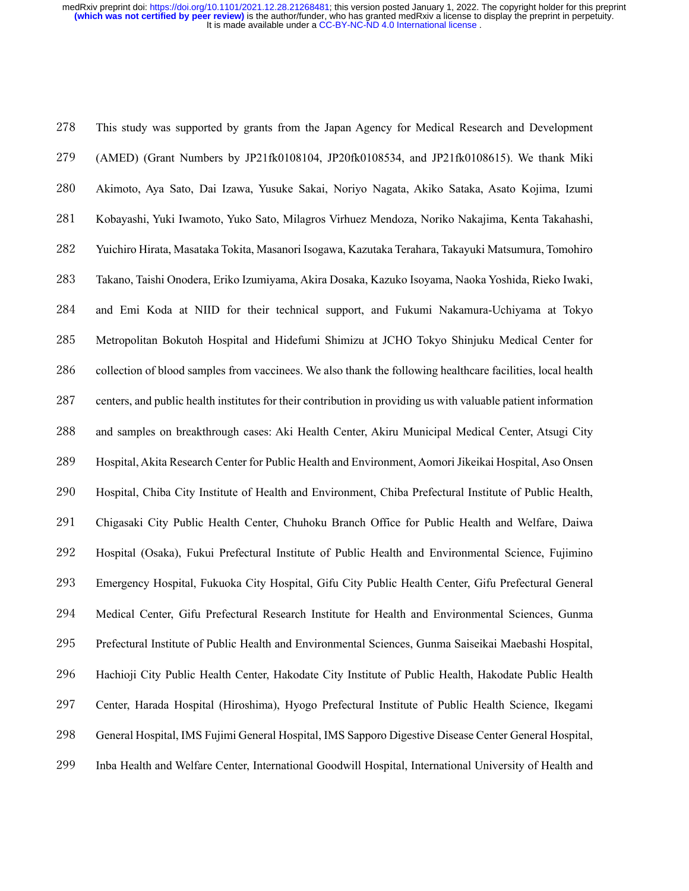This study was supported by grants from the Japan Agency for Medical Research and Development (AMED) (Grant Numbers by JP21fk0108104, JP20fk0108534, and JP21fk0108615). We thank Miki Akimoto, Aya Sato, Dai Izawa, Yusuke Sakai, Noriyo Nagata, Akiko Sataka, Asato Kojima, Izumi Kobayashi, Yuki Iwamoto, Yuko Sato, Milagros Virhuez Mendoza, Noriko Nakajima, Kenta Takahashi, Yuichiro Hirata, Masataka Tokita, Masanori Isogawa, Kazutaka Terahara, Takayuki Matsumura, Tomohiro Takano, Taishi Onodera, Eriko Izumiyama, Akira Dosaka, Kazuko Isoyama, Naoka Yoshida, Rieko Iwaki, and Emi Koda at NIID for their technical support, and Fukumi Nakamura-Uchiyama at Tokyo Metropolitan Bokutoh Hospital and Hidefumi Shimizu at JCHO Tokyo Shinjuku Medical Center for 286 collection of blood samples from vaccinees. We also thank the following healthcare facilities, local health centers, and public health institutes for their contribution in providing us with valuable patient information and samples on breakthrough cases: Aki Health Center, Akiru Municipal Medical Center, Atsugi City Hospital, Akita Research Center for Public Health and Environment, Aomori Jikeikai Hospital, Aso Onsen Hospital, Chiba City Institute of Health and Environment, Chiba Prefectural Institute of Public Health, Chigasaki City Public Health Center, Chuhoku Branch Office for Public Health and Welfare, Daiwa Hospital (Osaka), Fukui Prefectural Institute of Public Health and Environmental Science, Fujimino Emergency Hospital, Fukuoka City Hospital, Gifu City Public Health Center, Gifu Prefectural General Medical Center, Gifu Prefectural Research Institute for Health and Environmental Sciences, Gunma Prefectural Institute of Public Health and Environmental Sciences, Gunma Saiseikai Maebashi Hospital, Hachioji City Public Health Center, Hakodate City Institute of Public Health, Hakodate Public Health Center, Harada Hospital (Hiroshima), Hyogo Prefectural Institute of Public Health Science, Ikegami General Hospital, IMS Fujimi General Hospital, IMS Sapporo Digestive Disease Center General Hospital, Inba Health and Welfare Center, International Goodwill Hospital, International University of Health and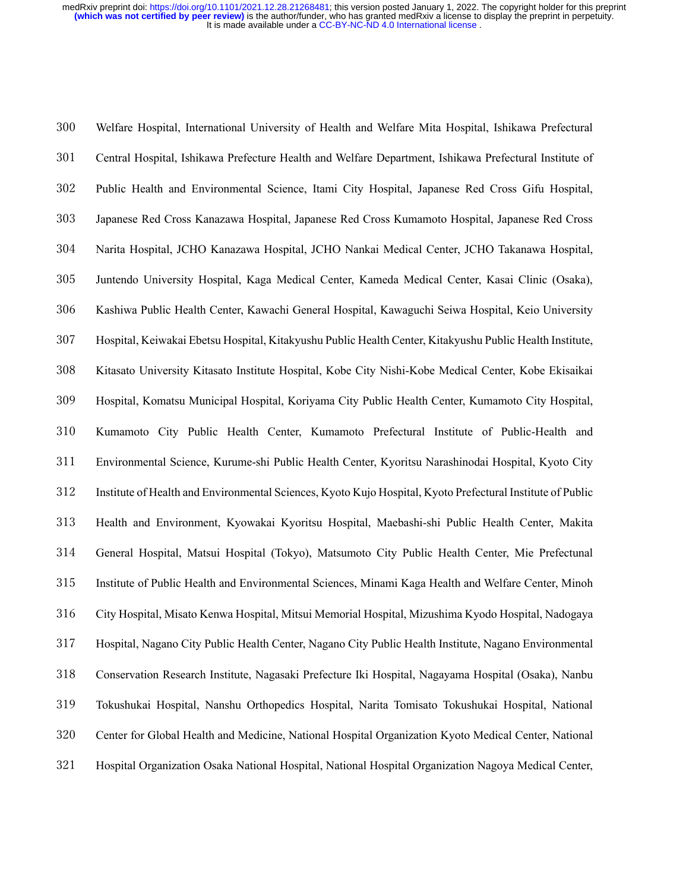Welfare Hospital, International University of Health and Welfare Mita Hospital, Ishikawa Prefectural Central Hospital, Ishikawa Prefecture Health and Welfare Department, Ishikawa Prefectural Institute of Public Health and Environmental Science, Itami City Hospital, Japanese Red Cross Gifu Hospital, Japanese Red Cross Kanazawa Hospital, Japanese Red Cross Kumamoto Hospital, Japanese Red Cross Narita Hospital, JCHO Kanazawa Hospital, JCHO Nankai Medical Center, JCHO Takanawa Hospital, Juntendo University Hospital, Kaga Medical Center, Kameda Medical Center, Kasai Clinic (Osaka), Kashiwa Public Health Center, Kawachi General Hospital, Kawaguchi Seiwa Hospital, Keio University Hospital, Keiwakai Ebetsu Hospital, Kitakyushu Public Health Center, Kitakyushu Public Health Institute, Kitasato University Kitasato Institute Hospital, Kobe City Nishi-Kobe Medical Center, Kobe Ekisaikai Hospital, Komatsu Municipal Hospital, Koriyama City Public Health Center, Kumamoto City Hospital, Kumamoto City Public Health Center, Kumamoto Prefectural Institute of Public-Health and Environmental Science, Kurume-shi Public Health Center, Kyoritsu Narashinodai Hospital, Kyoto City Institute of Health and Environmental Sciences, Kyoto Kujo Hospital, Kyoto Prefectural Institute of Public Health and Environment, Kyowakai Kyoritsu Hospital, Maebashi-shi Public Health Center, Makita General Hospital, Matsui Hospital (Tokyo), Matsumoto City Public Health Center, Mie Prefectunal Institute of Public Health and Environmental Sciences, Minami Kaga Health and Welfare Center, Minoh City Hospital, Misato Kenwa Hospital, Mitsui Memorial Hospital, Mizushima Kyodo Hospital, Nadogaya Hospital, Nagano City Public Health Center, Nagano City Public Health Institute, Nagano Environmental Conservation Research Institute, Nagasaki Prefecture Iki Hospital, Nagayama Hospital (Osaka), Nanbu Tokushukai Hospital, Nanshu Orthopedics Hospital, Narita Tomisato Tokushukai Hospital, National Center for Global Health and Medicine, National Hospital Organization Kyoto Medical Center, National Hospital Organization Osaka National Hospital, National Hospital Organization Nagoya Medical Center,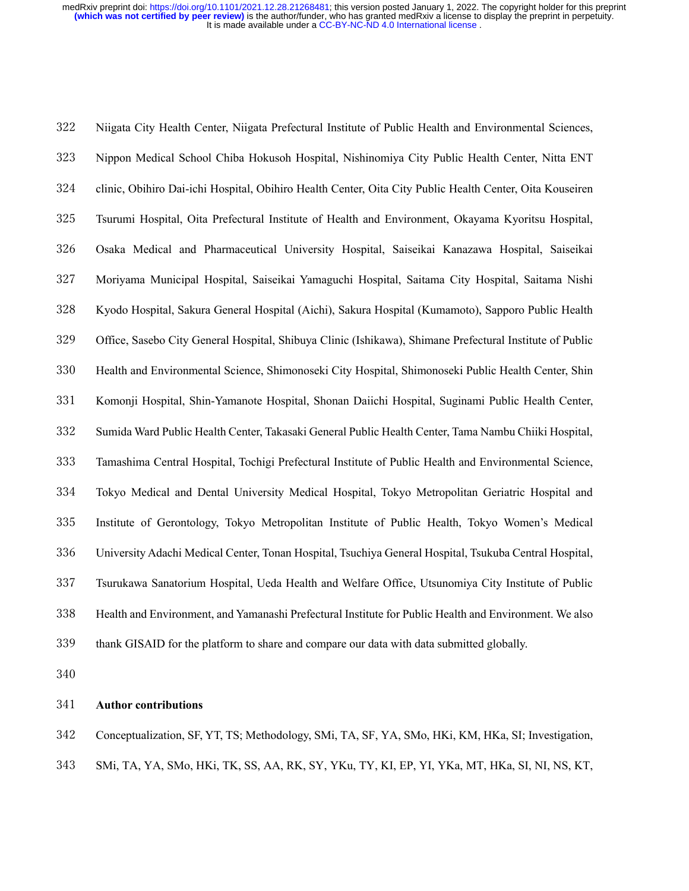Niigata City Health Center, Niigata Prefectural Institute of Public Health and Environmental Sciences, Nippon Medical School Chiba Hokusoh Hospital, Nishinomiya City Public Health Center, Nitta ENT clinic, Obihiro Dai-ichi Hospital, Obihiro Health Center, Oita City Public Health Center, Oita Kouseiren Tsurumi Hospital, Oita Prefectural Institute of Health and Environment, Okayama Kyoritsu Hospital, Osaka Medical and Pharmaceutical University Hospital, Saiseikai Kanazawa Hospital, Saiseikai Moriyama Municipal Hospital, Saiseikai Yamaguchi Hospital, Saitama City Hospital, Saitama Nishi Kyodo Hospital, Sakura General Hospital (Aichi), Sakura Hospital (Kumamoto), Sapporo Public Health Office, Sasebo City General Hospital, Shibuya Clinic (Ishikawa), Shimane Prefectural Institute of Public Health and Environmental Science, Shimonoseki City Hospital, Shimonoseki Public Health Center, Shin Komonji Hospital, Shin-Yamanote Hospital, Shonan Daiichi Hospital, Suginami Public Health Center, Sumida Ward Public Health Center, Takasaki General Public Health Center, Tama Nambu Chiiki Hospital, Tamashima Central Hospital, Tochigi Prefectural Institute of Public Health and Environmental Science, Tokyo Medical and Dental University Medical Hospital, Tokyo Metropolitan Geriatric Hospital and Institute of Gerontology, Tokyo Metropolitan Institute of Public Health, Tokyo Women's Medical University Adachi Medical Center, Tonan Hospital, Tsuchiya General Hospital, Tsukuba Central Hospital, Tsurukawa Sanatorium Hospital, Ueda Health and Welfare Office, Utsunomiya City Institute of Public Health and Environment, and Yamanashi Prefectural Institute for Public Health and Environment. We also thank GISAID for the platform to share and compare our data with data submitted globally.

#### **Author contributions**

Conceptualization, SF, YT, TS; Methodology, SMi, TA, SF, YA, SMo, HKi, KM, HKa, SI; Investigation,

SMi, TA, YA, SMo, HKi, TK, SS, AA, RK, SY, YKu, TY, KI, EP, YI, YKa, MT, HKa, SI, NI, NS, KT,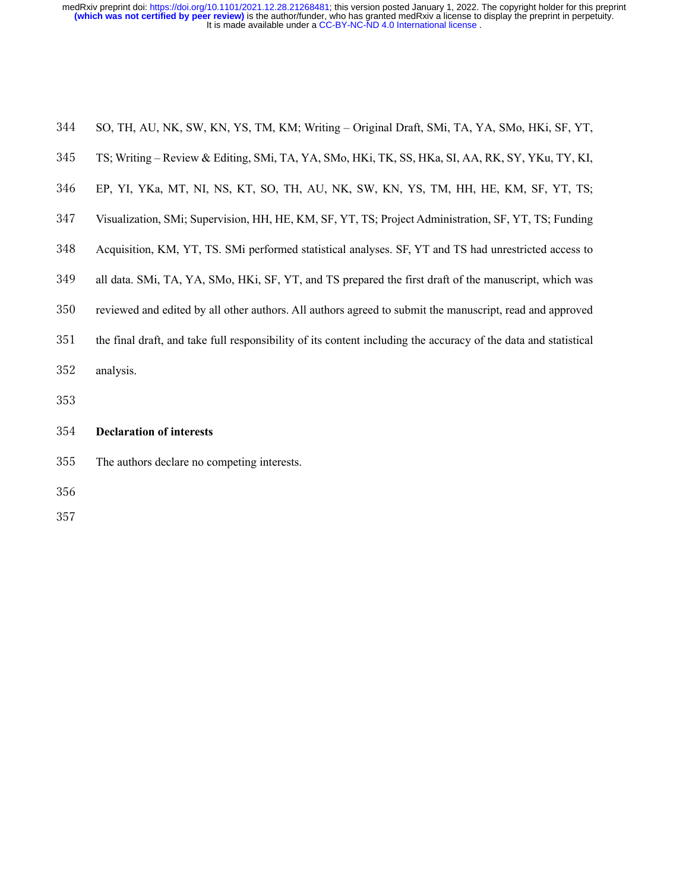| 344 SO, TH, AU, NK, SW, KN, YS, TM, KM; Writing - Original Draft, SMi, TA, YA, SMo, HKi, SF, YT, |  |  |  |
|--------------------------------------------------------------------------------------------------|--|--|--|
|                                                                                                  |  |  |  |

- TS; Writing Review & Editing, SMi, TA, YA, SMo, HKi, TK, SS, HKa, SI, AA, RK, SY, YKu, TY, KI,
- EP, YI, YKa, MT, NI, NS, KT, SO, TH, AU, NK, SW, KN, YS, TM, HH, HE, KM, SF, YT, TS;
- Visualization, SMi; Supervision, HH, HE, KM, SF, YT, TS; Project Administration, SF, YT, TS; Funding
- Acquisition, KM, YT, TS. SMi performed statistical analyses. SF, YT and TS had unrestricted access to
- all data. SMi, TA, YA, SMo, HKi, SF, YT, and TS prepared the first draft of the manuscript, which was
- reviewed and edited by all other authors. All authors agreed to submit the manuscript, read and approved
- the final draft, and take full responsibility of its content including the accuracy of the data and statistical
- analysis.
- 

#### **Declaration of interests**

- The authors declare no competing interests.
- 
-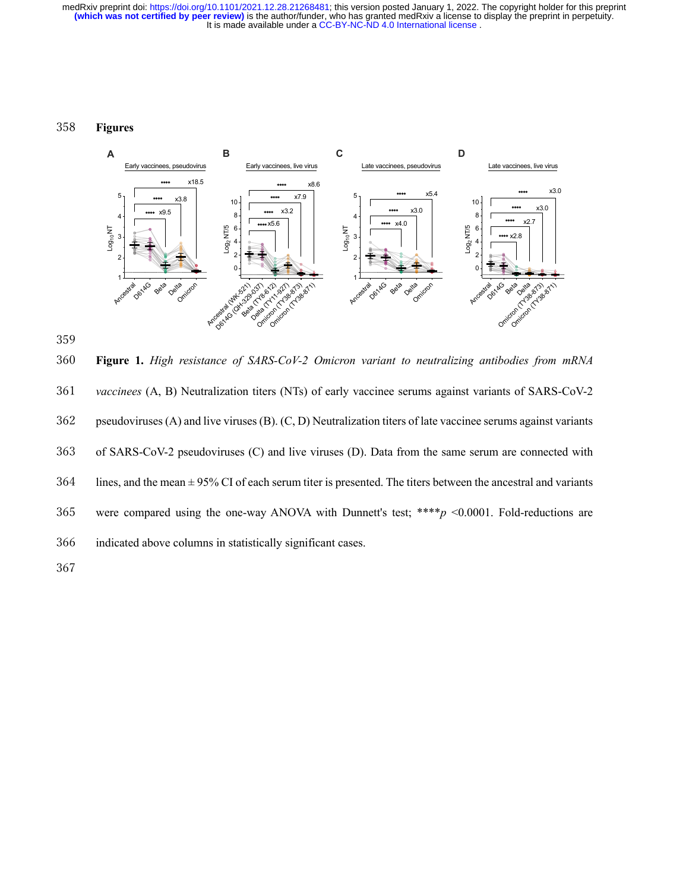#### 358 **Figures**





360 **Figure 1.** *High resistance of SARS-CoV-2 Omicron variant to neutralizing antibodies from mRNA*  361 *vaccinees* (A, B) Neutralization titers (NTs) of early vaccinee serums against variants of SARS-CoV-2 362 pseudoviruses (A) and live viruses (B). (C, D) Neutralization titers of late vaccinee serums against variants 363 of SARS-CoV-2 pseudoviruses (C) and live viruses (D). Data from the same serum are connected with  $364$  lines, and the mean  $\pm 95\%$  CI of each serum titer is presented. The titers between the ancestral and variants 365 were compared using the one-way ANOVA with Dunnett's test; \*\*\*\**p* <0.0001. Fold-reductions are 366 indicated above columns in statistically significant cases. 367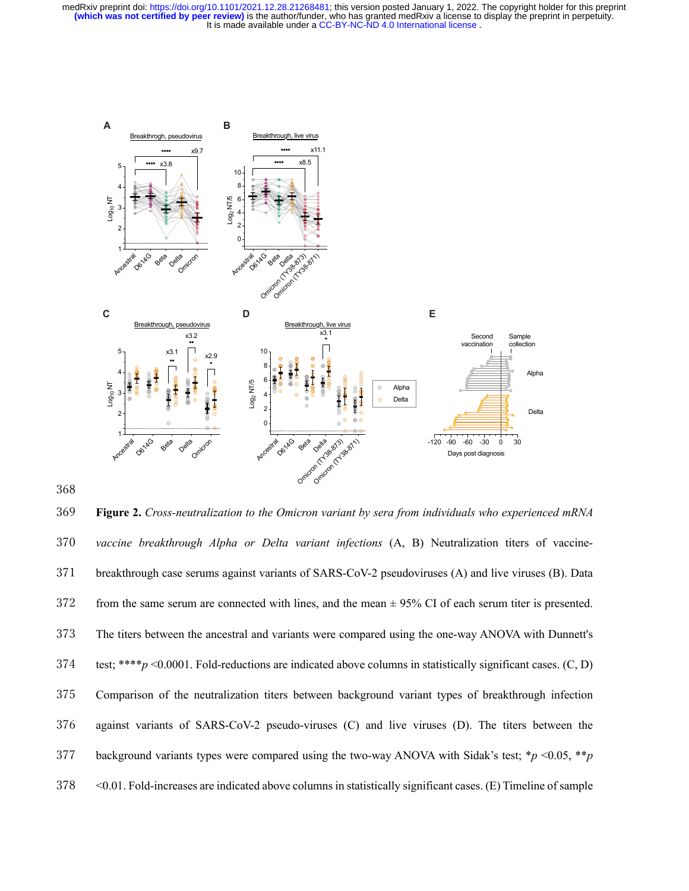

368

369 **Figure 2.** *Cross-neutralization to the Omicron variant by sera from individuals who experienced mRNA*  370 *vaccine breakthrough Alpha or Delta variant infections* (A, B) Neutralization titers of vaccine-371 breakthrough case serums against variants of SARS-CoV-2 pseudoviruses (A) and live viruses (B). Data  $372$  from the same serum are connected with lines, and the mean  $\pm$  95% CI of each serum titer is presented. 373 The titers between the ancestral and variants were compared using the one-way ANOVA with Dunnett's 374 test; \*\*\*\**p* <0.0001. Fold-reductions are indicated above columns in statistically significant cases. (C, D) 375 Comparison of the neutralization titers between background variant types of breakthrough infection 376 against variants of SARS-CoV-2 pseudo-viruses (C) and live viruses (D). The titers between the 377 background variants types were compared using the two-way ANOVA with Sidak's test; \**p* <0.05, \*\**p*  378 <0.01. Fold-increases are indicated above columns in statistically significant cases. (E) Timeline of sample **Figure 2**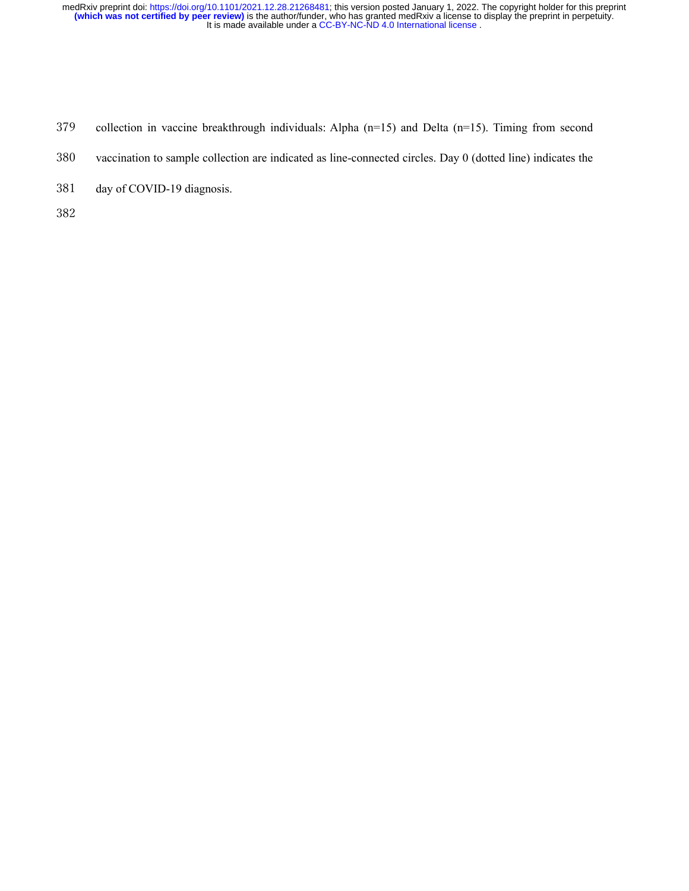- collection in vaccine breakthrough individuals: Alpha (n=15) and Delta (n=15). Timing from second
- vaccination to sample collection are indicated as line-connected circles. Day 0 (dotted line) indicates the
- day of COVID-19 diagnosis.
-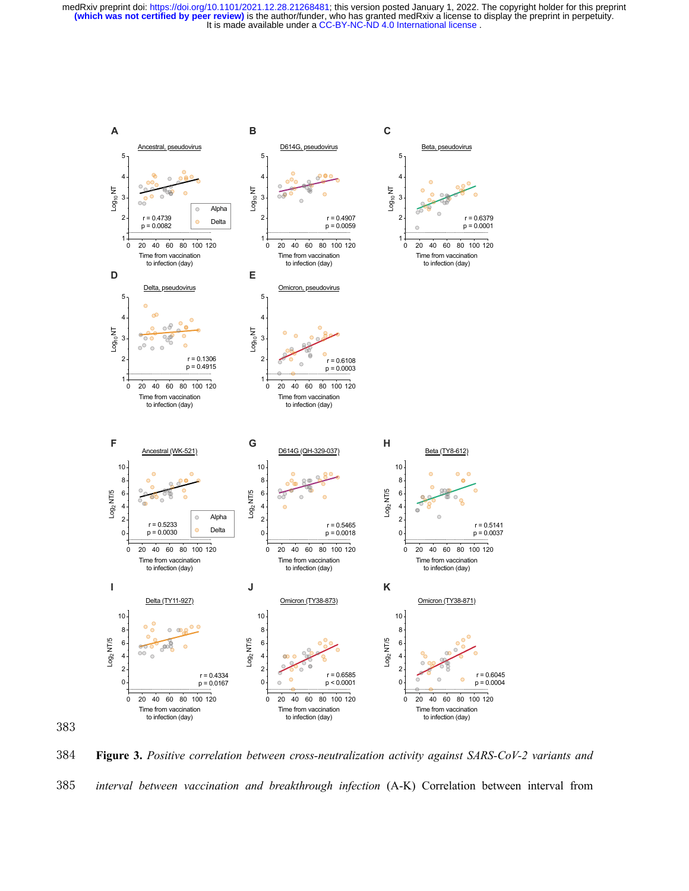

384 **Figure 3.** *Positive correlation between cross-neutralization activity against SARS-CoV-2 variants and*  385 *interval between vaccination and breakthrough infection* (A-K) Correlation between interval from

383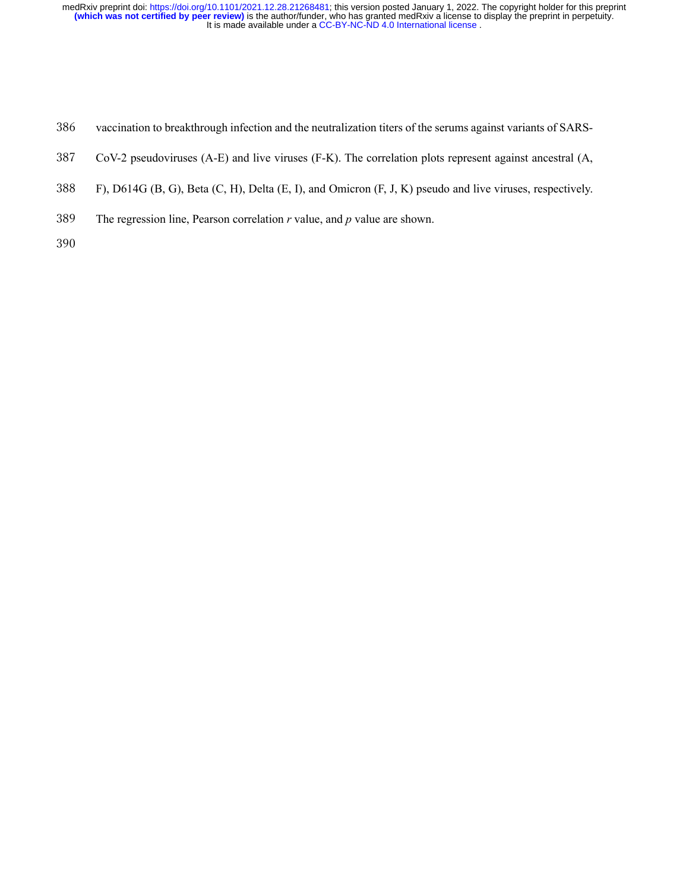- vaccination to breakthrough infection and the neutralization titers of the serums against variants of SARS-
- CoV-2 pseudoviruses (A-E) and live viruses (F-K). The correlation plots represent against ancestral (A,
- F), D614G (B, G), Beta (C, H), Delta (E, I), and Omicron (F, J, K) pseudo and live viruses, respectively.
- The regression line, Pearson correlation *r* value, and *p* value are shown.
-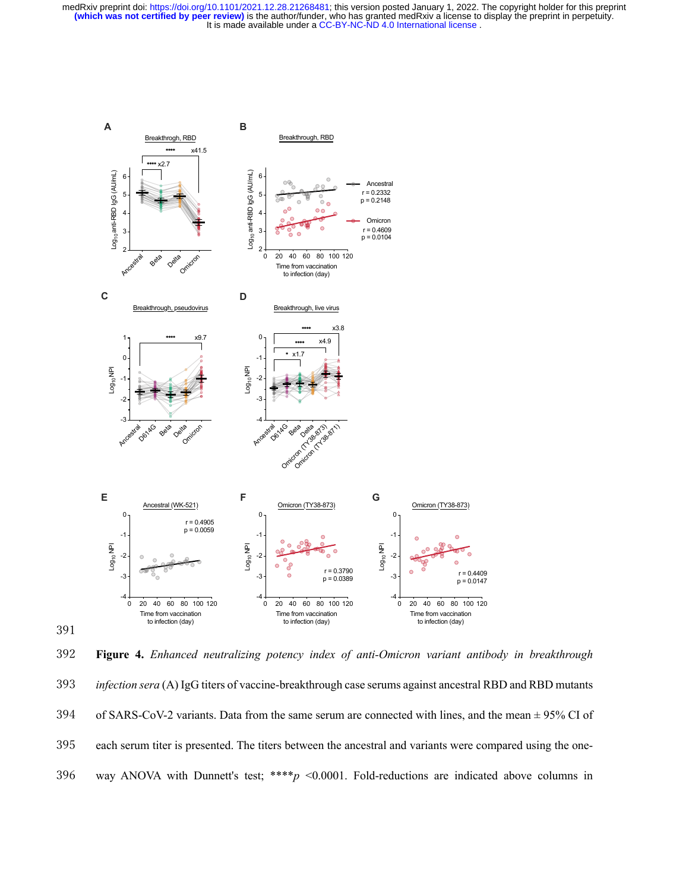

391

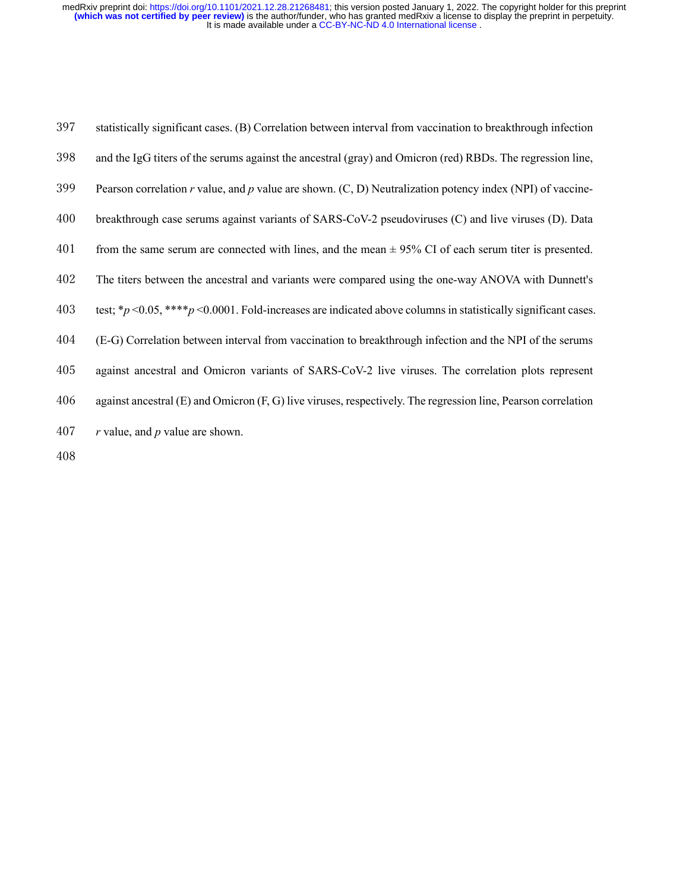| 397 | statistically significant cases. (B) Correlation between interval from vaccination to breakthrough infection        |
|-----|---------------------------------------------------------------------------------------------------------------------|
| 398 | and the IgG titers of the serums against the ancestral (gray) and Omicron (red) RBDs. The regression line,          |
| 399 | Pearson correlation r value, and p value are shown. $(C, D)$ Neutralization potency index (NPI) of vaccine-         |
| 400 | breakthrough case serums against variants of SARS-CoV-2 pseudoviruses (C) and live viruses (D). Data                |
| 401 | from the same serum are connected with lines, and the mean $\pm$ 95% CI of each serum titer is presented.           |
| 402 | The titers between the ancestral and variants were compared using the one-way ANOVA with Dunnett's                  |
| 403 | test; * $p$ <0.05, **** $p$ <0.0001. Fold-increases are indicated above columns in statistically significant cases. |
| 404 | (E-G) Correlation between interval from vaccination to breakthrough infection and the NPI of the serums             |
| 405 | against ancestral and Omicron variants of SARS-CoV-2 live viruses. The correlation plots represent                  |
| 406 | against ancestral (E) and Omicron (F, G) live viruses, respectively. The regression line, Pearson correlation       |
| 407 | $r$ value, and $p$ value are shown.                                                                                 |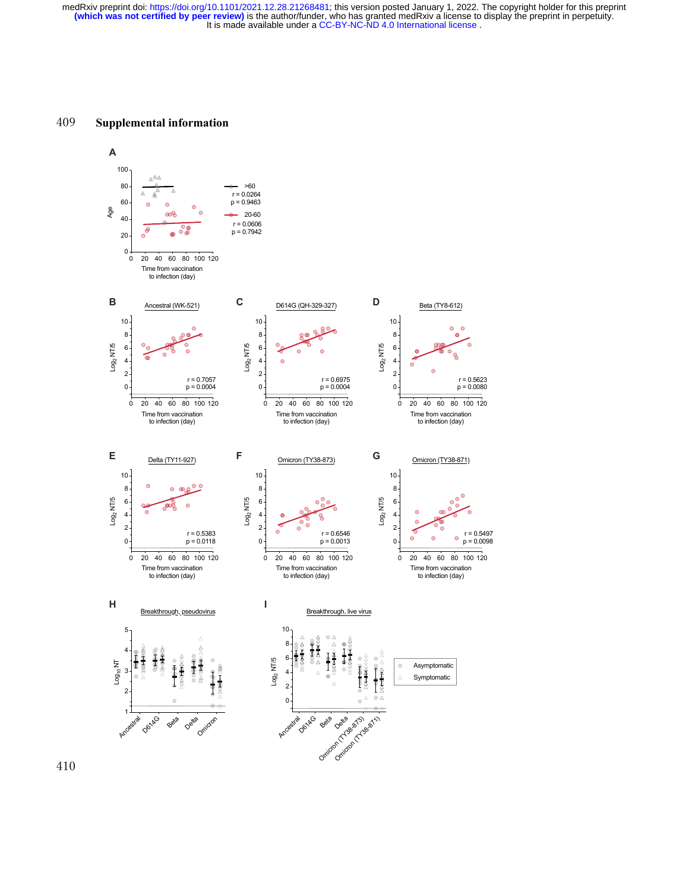#### 409 **Supplemental information**



410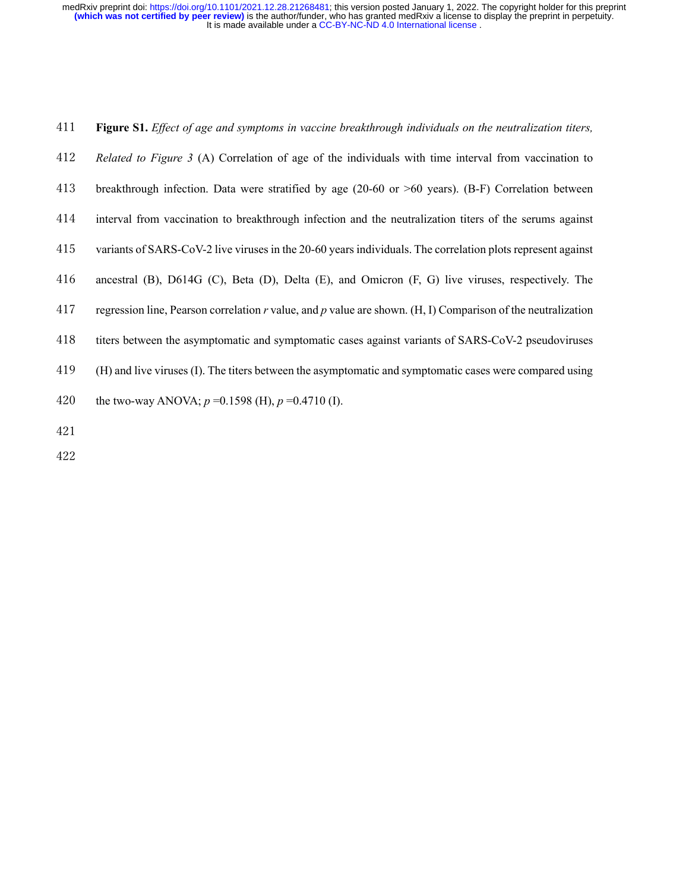- *Related to Figure 3* (A) Correlation of age of the individuals with time interval from vaccination to
- breakthrough infection. Data were stratified by age (20-60 or >60 years). (B-F) Correlation between
- interval from vaccination to breakthrough infection and the neutralization titers of the serums against
- variants of SARS-CoV-2 live viruses in the 20-60 years individuals. The correlation plots represent against
- ancestral (B), D614G (C), Beta (D), Delta (E), and Omicron (F, G) live viruses, respectively. The
- regression line, Pearson correlation *r* value, and *p* value are shown. (H, I) Comparison of the neutralization
- titers between the asymptomatic and symptomatic cases against variants of SARS-CoV-2 pseudoviruses
- (H) and live viruses (I). The titers between the asymptomatic and symptomatic cases were compared using
- the two-way ANOVA; *p* =0.1598 (H), *p* =0.4710 (I).
- 
-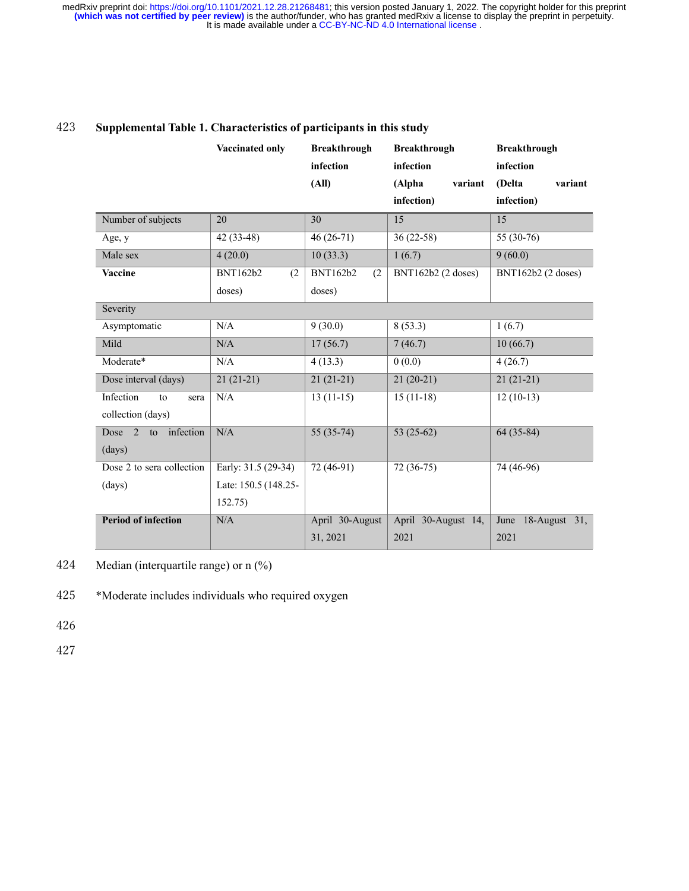|                           | <b>Vaccinated only</b> | <b>Breakthrough</b><br>infection | <b>Breakthrough</b><br>infection | <b>Breakthrough</b><br>infection |  |
|---------------------------|------------------------|----------------------------------|----------------------------------|----------------------------------|--|
|                           |                        | (AII)                            | (Alpha<br>variant                | (Delta<br>variant                |  |
|                           |                        |                                  | infection)                       | infection)                       |  |
| Number of subjects        | 20                     | 30                               | 15                               | 15                               |  |
| Age, y                    | 42 (33-48)             | $46(26-71)$                      | $36(22-58)$                      | 55 (30-76)                       |  |
| Male sex                  | 4(20.0)                | 10(33.3)                         | 1(6.7)                           | 9(60.0)                          |  |
| <b>Vaccine</b>            | <b>BNT162b2</b><br>(2) | <b>BNT162b2</b><br>(2)           | BNT162b2 (2 doses)               | BNT162b2 (2 doses)               |  |
|                           | doses)                 | doses)                           |                                  |                                  |  |
| Severity                  |                        |                                  |                                  |                                  |  |
| Asymptomatic              | N/A                    | 9(30.0)                          | 8(53.3)                          | 1(6.7)                           |  |
| Mild                      | N/A                    | 17(56.7)                         | 7(46.7)                          | 10(66.7)                         |  |
| Moderate*                 | N/A                    | 4(13.3)                          | 0(0.0)                           | 4(26.7)                          |  |
| Dose interval (days)      | $21(21-21)$            | $21(21-21)$                      | $21(20-21)$                      | $21(21-21)$                      |  |
| Infection<br>to<br>sera   | N/A                    | $13(11-15)$                      | $15(11-18)$                      | $12(10-13)$                      |  |
| collection (days)         |                        |                                  |                                  |                                  |  |
| Dose 2 to infection       | N/A                    | $55(35-74)$                      | 53 $(25-62)$                     | $64(35-84)$                      |  |
| (days)                    |                        |                                  |                                  |                                  |  |
| Dose 2 to sera collection | Early: 31.5 (29-34)    | 72 (46-91)                       | $72(36-75)$                      | 74 (46-96)                       |  |
| (days)                    | Late: 150.5 (148.25-   |                                  |                                  |                                  |  |
|                           | 152.75)                |                                  |                                  |                                  |  |
| Period of infection       | N/A                    | April 30-August                  | April 30-August 14,              | June 18-August 31,               |  |
|                           |                        | 31, 2021                         | 2021                             | 2021                             |  |

## 423 **Supplemental Table 1. Characteristics of participants in this study**

424 Median (interquartile range) or n (%)

425 \*Moderate includes individuals who required oxygen

426

427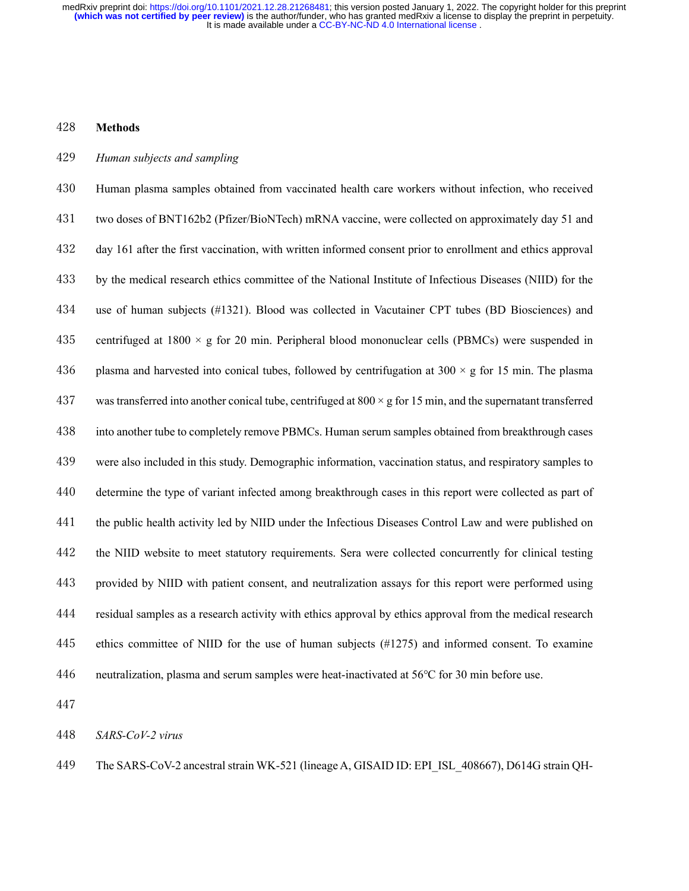#### **Methods**

#### *Human subjects and sampling*

 Human plasma samples obtained from vaccinated health care workers without infection, who received two doses of BNT162b2 (Pfizer/BioNTech) mRNA vaccine, were collected on approximately day 51 and day 161 after the first vaccination, with written informed consent prior to enrollment and ethics approval by the medical research ethics committee of the National Institute of Infectious Diseases (NIID) for the use of human subjects (#1321). Blood was collected in Vacutainer CPT tubes (BD Biosciences) and 435 centrifuged at 1800  $\times$  g for 20 min. Peripheral blood mononuclear cells (PBMCs) were suspended in 436 plasma and harvested into conical tubes, followed by centrifugation at  $300 \times g$  for 15 min. The plasma 437 was transferred into another conical tube, centrifuged at  $800 \times g$  for 15 min, and the supernatant transferred into another tube to completely remove PBMCs. Human serum samples obtained from breakthrough cases were also included in this study. Demographic information, vaccination status, and respiratory samples to determine the type of variant infected among breakthrough cases in this report were collected as part of the public health activity led by NIID under the Infectious Diseases Control Law and were published on the NIID website to meet statutory requirements. Sera were collected concurrently for clinical testing provided by NIID with patient consent, and neutralization assays for this report were performed using residual samples as a research activity with ethics approval by ethics approval from the medical research ethics committee of NIID for the use of human subjects (#1275) and informed consent. To examine neutralization, plasma and serum samples were heat-inactivated at 56℃ for 30 min before use.

*SARS-CoV-2 virus*

The SARS-CoV-2 ancestral strain WK-521 (lineage A, GISAID ID: EPI\_ISL\_408667), D614G strain QH-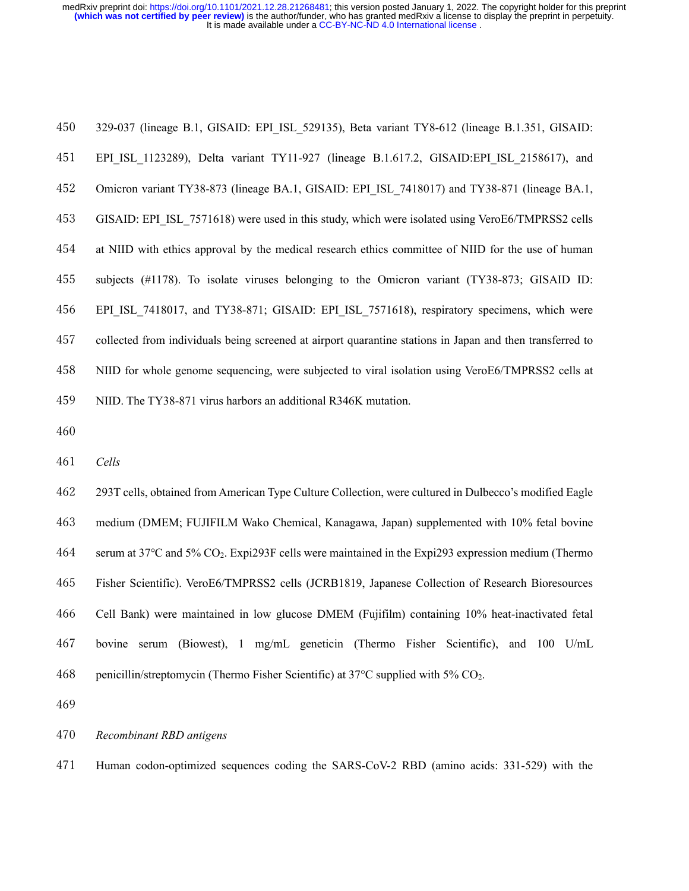| 450 | 329-037 (lineage B.1, GISAID: EPI ISL 529135), Beta variant TY8-612 (lineage B.1.351, GISAID:             |
|-----|-----------------------------------------------------------------------------------------------------------|
| 451 | EPI ISL 1123289), Delta variant TY11-927 (lineage B.1.617.2, GISAID: EPI ISL 2158617), and                |
| 452 | Omicron variant TY38-873 (lineage BA.1, GISAID: EPI ISL 7418017) and TY38-871 (lineage BA.1,              |
| 453 | GISAID: EPI ISL 7571618) were used in this study, which were isolated using VeroE6/TMPRSS2 cells          |
| 454 | at NIID with ethics approval by the medical research ethics committee of NIID for the use of human        |
| 455 | subjects (#1178). To isolate viruses belonging to the Omicron variant (TY38-873; GISAID ID:               |
| 456 | EPI ISL 7418017, and TY38-871; GISAID: EPI ISL 7571618), respiratory specimens, which were                |
| 457 | collected from individuals being screened at airport quarantine stations in Japan and then transferred to |
| 458 | NIID for whole genome sequencing, were subjected to viral isolation using VeroE6/TMPRSS2 cells at         |
| 459 | NIID. The TY38-871 virus harbors an additional R346K mutation.                                            |

*Cells*

 293T cells, obtained from American Type Culture Collection, were cultured in Dulbecco's modified Eagle medium (DMEM; FUJIFILM Wako Chemical, Kanagawa, Japan) supplemented with 10% fetal bovine serum at 37℃ and 5% CO2. Expi293F cells were maintained in the Expi293 expression medium (Thermo Fisher Scientific). VeroE6/TMPRSS2 cells (JCRB1819, Japanese Collection of Research Bioresources Cell Bank) were maintained in low glucose DMEM (Fujifilm) containing 10% heat-inactivated fetal bovine serum (Biowest), 1 mg/mL geneticin (Thermo Fisher Scientific), and 100 U/mL penicillin/streptomycin (Thermo Fisher Scientific) at 37°C supplied with 5% CO2.

*Recombinant RBD antigens*

Human codon-optimized sequences coding the SARS-CoV-2 RBD (amino acids: 331-529) with the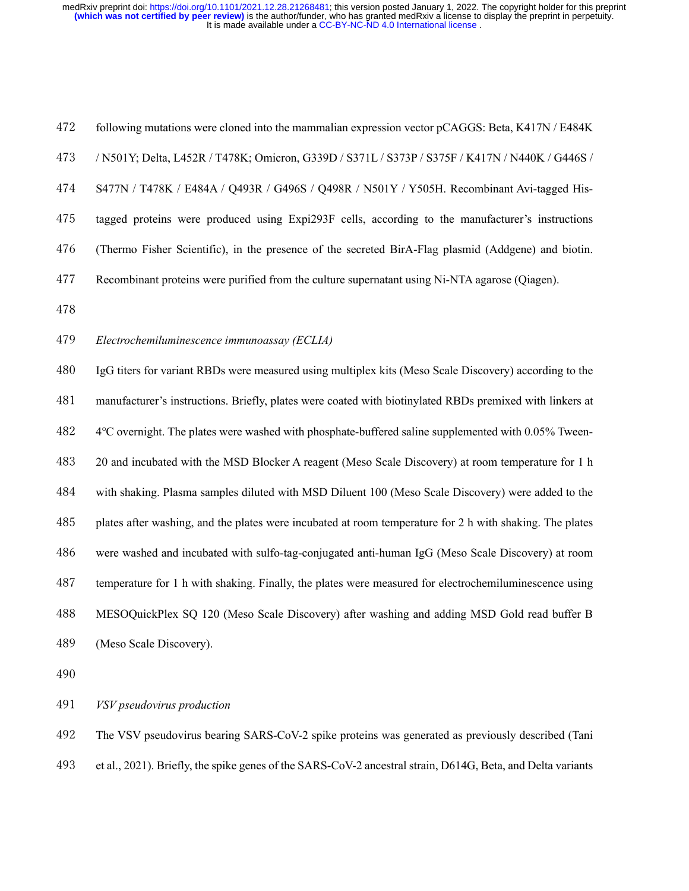following mutations were cloned into the mammalian expression vector pCAGGS: Beta, K417N / E484K / N501Y; Delta, L452R / T478K; Omicron, G339D / S371L / S373P / S375F / K417N / N440K / G446S / S477N / T478K / E484A / Q493R / G496S / Q498R / N501Y / Y505H. Recombinant Avi-tagged His- tagged proteins were produced using Expi293F cells, according to the manufacturer's instructions (Thermo Fisher Scientific), in the presence of the secreted BirA-Flag plasmid (Addgene) and biotin. Recombinant proteins were purified from the culture supernatant using Ni-NTA agarose (Qiagen). *Electrochemiluminescence immunoassay (ECLIA)*

 IgG titers for variant RBDs were measured using multiplex kits (Meso Scale Discovery) according to the manufacturer's instructions. Briefly, plates were coated with biotinylated RBDs premixed with linkers at 4℃ overnight. The plates were washed with phosphate-buffered saline supplemented with 0.05% Tween- 20 and incubated with the MSD Blocker A reagent (Meso Scale Discovery) at room temperature for 1 h with shaking. Plasma samples diluted with MSD Diluent 100 (Meso Scale Discovery) were added to the plates after washing, and the plates were incubated at room temperature for 2 h with shaking. The plates were washed and incubated with sulfo-tag-conjugated anti-human IgG (Meso Scale Discovery) at room temperature for 1 h with shaking. Finally, the plates were measured for electrochemiluminescence using MESOQuickPlex SQ 120 (Meso Scale Discovery) after washing and adding MSD Gold read buffer B (Meso Scale Discovery).

*VSV pseudovirus production*

 The VSV pseudovirus bearing SARS-CoV-2 spike proteins was generated as previously described (Tani et al., 2021). Briefly, the spike genes of the SARS-CoV-2 ancestral strain, D614G, Beta, and Delta variants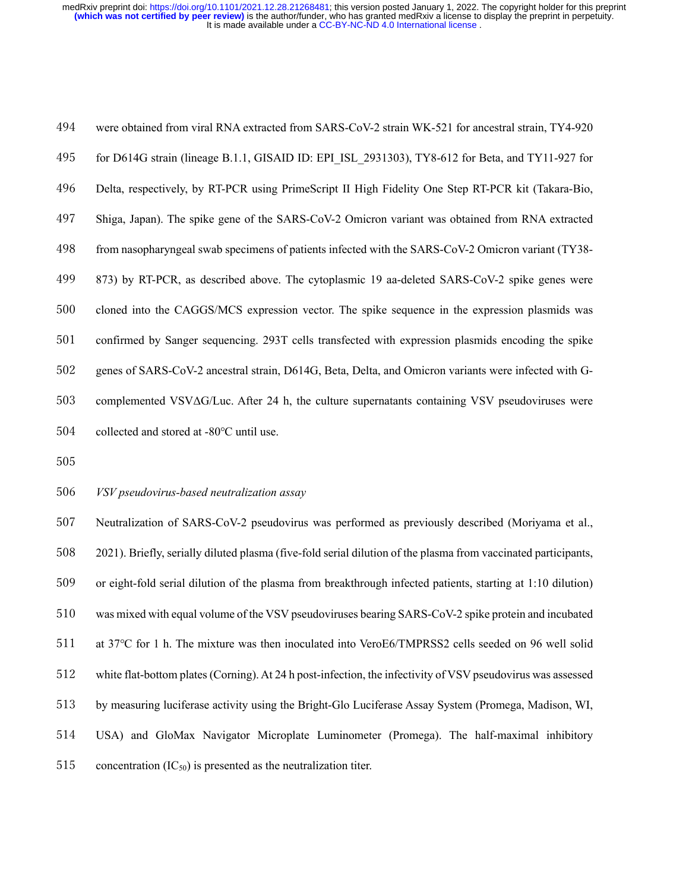were obtained from viral RNA extracted from SARS-CoV-2 strain WK-521 for ancestral strain, TY4-920 for D614G strain (lineage B.1.1, GISAID ID: EPI\_ISL\_2931303), TY8-612 for Beta, and TY11-927 for Delta, respectively, by RT-PCR using PrimeScript II High Fidelity One Step RT-PCR kit (Takara-Bio, Shiga, Japan). The spike gene of the SARS-CoV-2 Omicron variant was obtained from RNA extracted from nasopharyngeal swab specimens of patients infected with the SARS-CoV-2 Omicron variant (TY38- 873) by RT-PCR, as described above. The cytoplasmic 19 aa-deleted SARS-CoV-2 spike genes were cloned into the CAGGS/MCS expression vector. The spike sequence in the expression plasmids was confirmed by Sanger sequencing. 293T cells transfected with expression plasmids encoding the spike genes of SARS-CoV-2 ancestral strain, D614G, Beta, Delta, and Omicron variants were infected with G- complemented VSVΔG/Luc. After 24 h, the culture supernatants containing VSV pseudoviruses were 504 collected and stored at -80°C until use.

#### *VSV pseudovirus-based neutralization assay*

 Neutralization of SARS-CoV-2 pseudovirus was performed as previously described (Moriyama et al., 2021). Briefly, serially diluted plasma (five-fold serial dilution of the plasma from vaccinated participants, or eight-fold serial dilution of the plasma from breakthrough infected patients, starting at 1:10 dilution) was mixed with equal volume of the VSV pseudoviruses bearing SARS-CoV-2 spike protein and incubated at 37℃ for 1 h. The mixture was then inoculated into VeroE6/TMPRSS2 cells seeded on 96 well solid white flat-bottom plates (Corning). At 24 h post-infection, the infectivity of VSV pseudovirus was assessed by measuring luciferase activity using the Bright-Glo Luciferase Assay System (Promega, Madison, WI, USA) and GloMax Navigator Microplate Luminometer (Promega). The half-maximal inhibitory 515 concentration  $(IC_{50})$  is presented as the neutralization titer.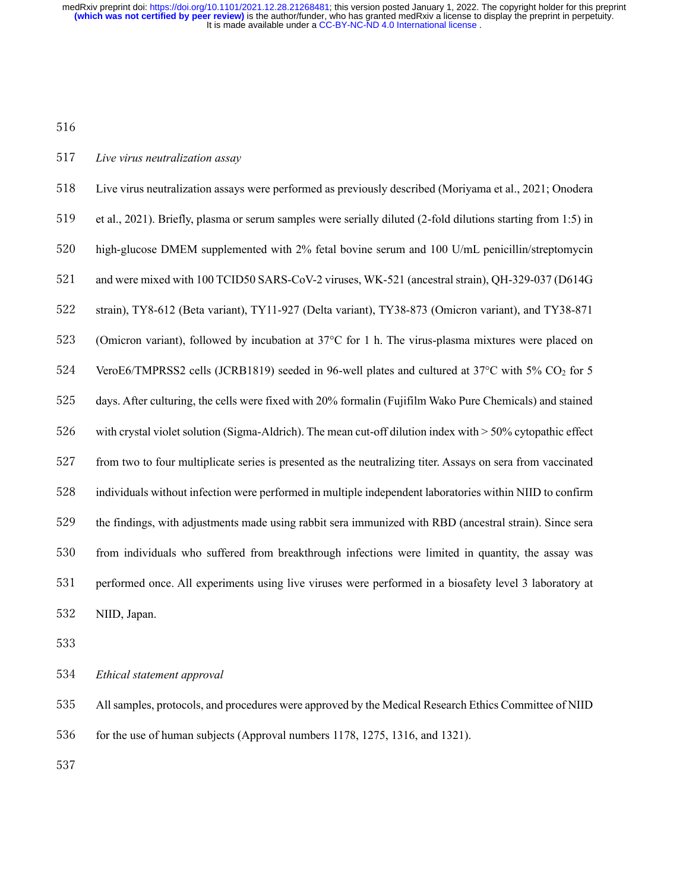#### *Live virus neutralization assay*

 Live virus neutralization assays were performed as previously described (Moriyama et al., 2021; Onodera et al., 2021). Briefly, plasma or serum samples were serially diluted (2-fold dilutions starting from 1:5) in high-glucose DMEM supplemented with 2% fetal bovine serum and 100 U/mL penicillin/streptomycin and were mixed with 100 TCID50 SARS-CoV-2 viruses, WK-521 (ancestral strain), QH-329-037 (D614G strain), TY8-612 (Beta variant), TY11-927 (Delta variant), TY38-873 (Omicron variant), and TY38-871 (Omicron variant), followed by incubation at 37°C for 1 h. The virus-plasma mixtures were placed on 524 VeroE6/TMPRSS2 cells (JCRB1819) seeded in 96-well plates and cultured at 37°C with 5% CO<sub>2</sub> for 5 days. After culturing, the cells were fixed with 20% formalin (Fujifilm Wako Pure Chemicals) and stained with crystal violet solution (Sigma-Aldrich). The mean cut-off dilution index with > 50% cytopathic effect from two to four multiplicate series is presented as the neutralizing titer. Assays on sera from vaccinated individuals without infection were performed in multiple independent laboratories within NIID to confirm the findings, with adjustments made using rabbit sera immunized with RBD (ancestral strain). Since sera from individuals who suffered from breakthrough infections were limited in quantity, the assay was performed once. All experiments using live viruses were performed in a biosafety level 3 laboratory at NIID, Japan.

*Ethical statement approval*

All samples, protocols, and procedures were approved by the Medical Research Ethics Committee of NIID

for the use of human subjects (Approval numbers 1178, 1275, 1316, and 1321).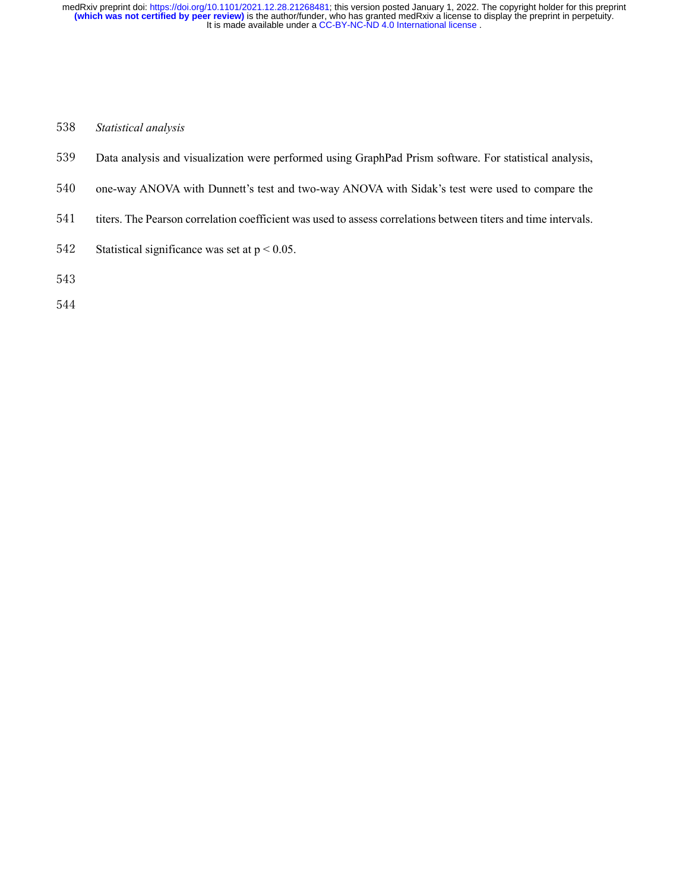### *Statistical analysis*

- Data analysis and visualization were performed using GraphPad Prism software. For statistical analysis,
- one-way ANOVA with Dunnett's test and two-way ANOVA with Sidak's test were used to compare the
- titers. The Pearson correlation coefficient was used to assess correlations between titers and time intervals.
- 542 Statistical significance was set at  $p < 0.05$ .
-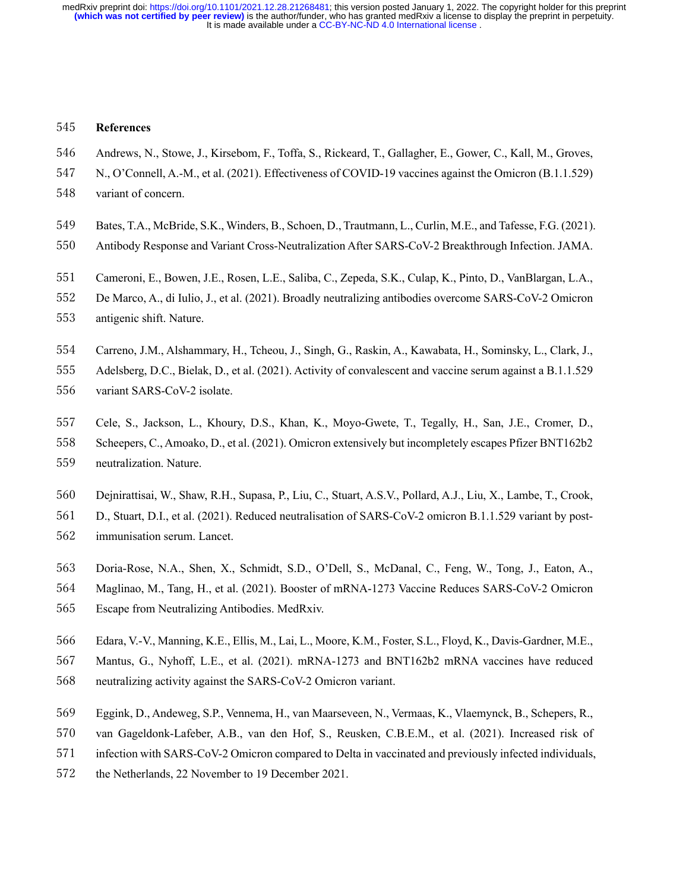#### **References**

- Andrews, N., Stowe, J., Kirsebom, F., Toffa, S., Rickeard, T., Gallagher, E., Gower, C., Kall, M., Groves,
- N., O'Connell, A.-M., et al. (2021). Effectiveness of COVID-19 vaccines against the Omicron (B.1.1.529) variant of concern.
- 
- Bates, T.A., McBride, S.K., Winders, B., Schoen, D., Trautmann, L., Curlin, M.E., and Tafesse, F.G. (2021).
- Antibody Response and Variant Cross-Neutralization After SARS-CoV-2 Breakthrough Infection. JAMA.
- Cameroni, E., Bowen, J.E., Rosen, L.E., Saliba, C., Zepeda, S.K., Culap, K., Pinto, D., VanBlargan, L.A.,
- De Marco, A., di Iulio, J., et al. (2021). Broadly neutralizing antibodies overcome SARS-CoV-2 Omicron
- antigenic shift. Nature.
- Carreno, J.M., Alshammary, H., Tcheou, J., Singh, G., Raskin, A., Kawabata, H., Sominsky, L., Clark, J.,
- Adelsberg, D.C., Bielak, D., et al. (2021). Activity of convalescent and vaccine serum against a B.1.1.529
- variant SARS-CoV-2 isolate.
- Cele, S., Jackson, L., Khoury, D.S., Khan, K., Moyo-Gwete, T., Tegally, H., San, J.E., Cromer, D.,
- Scheepers, C., Amoako, D., et al. (2021). Omicron extensively but incompletely escapes Pfizer BNT162b2
- neutralization. Nature.
- Dejnirattisai, W., Shaw, R.H., Supasa, P., Liu, C., Stuart, A.S.V., Pollard, A.J., Liu, X., Lambe, T., Crook,
- D., Stuart, D.I., et al. (2021). Reduced neutralisation of SARS-CoV-2 omicron B.1.1.529 variant by post-
- immunisation serum. Lancet.
- Doria-Rose, N.A., Shen, X., Schmidt, S.D., O'Dell, S., McDanal, C., Feng, W., Tong, J., Eaton, A.,
- Maglinao, M., Tang, H., et al. (2021). Booster of mRNA-1273 Vaccine Reduces SARS-CoV-2 Omicron
- Escape from Neutralizing Antibodies. MedRxiv.
- Edara, V.-V., Manning, K.E., Ellis, M., Lai, L., Moore, K.M., Foster, S.L., Floyd, K., Davis-Gardner, M.E.,
- Mantus, G., Nyhoff, L.E., et al. (2021). mRNA-1273 and BNT162b2 mRNA vaccines have reduced neutralizing activity against the SARS-CoV-2 Omicron variant.
- Eggink, D., Andeweg, S.P., Vennema, H., van Maarseveen, N., Vermaas, K., Vlaemynck, B., Schepers, R.,
- van Gageldonk-Lafeber, A.B., van den Hof, S., Reusken, C.B.E.M., et al. (2021). Increased risk of
- infection with SARS-CoV-2 Omicron compared to Delta in vaccinated and previously infected individuals,
- the Netherlands, 22 November to 19 December 2021.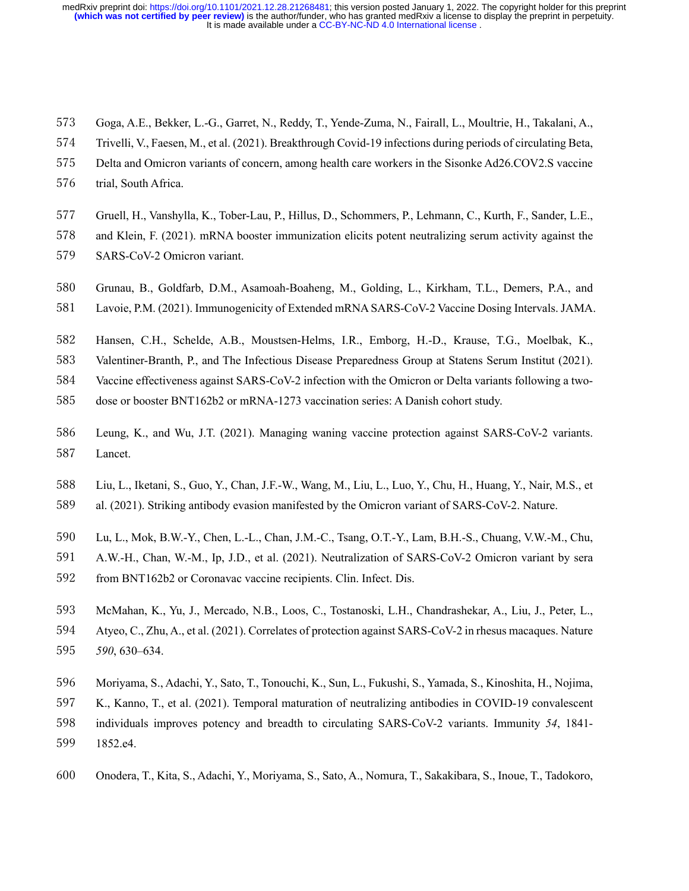- Goga, A.E., Bekker, L.-G., Garret, N., Reddy, T., Yende-Zuma, N., Fairall, L., Moultrie, H., Takalani, A.,
- Trivelli, V., Faesen, M., et al. (2021). Breakthrough Covid-19 infections during periods of circulating Beta,
- Delta and Omicron variants of concern, among health care workers in the Sisonke Ad26.COV2.S vaccine
- trial, South Africa.
- Gruell, H., Vanshylla, K., Tober-Lau, P., Hillus, D., Schommers, P., Lehmann, C., Kurth, F., Sander, L.E.,
- and Klein, F. (2021). mRNA booster immunization elicits potent neutralizing serum activity against the
- SARS-CoV-2 Omicron variant.
- Grunau, B., Goldfarb, D.M., Asamoah-Boaheng, M., Golding, L., Kirkham, T.L., Demers, P.A., and
- Lavoie, P.M. (2021). Immunogenicity of Extended mRNA SARS-CoV-2 Vaccine Dosing Intervals. JAMA.
- Hansen, C.H., Schelde, A.B., Moustsen-Helms, I.R., Emborg, H.-D., Krause, T.G., Moelbak, K.,
- Valentiner-Branth, P., and The Infectious Disease Preparedness Group at Statens Serum Institut (2021).
- Vaccine effectiveness against SARS-CoV-2 infection with the Omicron or Delta variants following a two-
- dose or booster BNT162b2 or mRNA-1273 vaccination series: A Danish cohort study.
- Leung, K., and Wu, J.T. (2021). Managing waning vaccine protection against SARS-CoV-2 variants. Lancet.
- Liu, L., Iketani, S., Guo, Y., Chan, J.F.-W., Wang, M., Liu, L., Luo, Y., Chu, H., Huang, Y., Nair, M.S., et
- al. (2021). Striking antibody evasion manifested by the Omicron variant of SARS-CoV-2. Nature.
- Lu, L., Mok, B.W.-Y., Chen, L.-L., Chan, J.M.-C., Tsang, O.T.-Y., Lam, B.H.-S., Chuang, V.W.-M., Chu,
- A.W.-H., Chan, W.-M., Ip, J.D., et al. (2021). Neutralization of SARS-CoV-2 Omicron variant by sera
- from BNT162b2 or Coronavac vaccine recipients. Clin. Infect. Dis.
- McMahan, K., Yu, J., Mercado, N.B., Loos, C., Tostanoski, L.H., Chandrashekar, A., Liu, J., Peter, L., Atyeo, C., Zhu, A., et al. (2021). Correlates of protection against SARS-CoV-2 in rhesus macaques. Nature *590*, 630–634.
- Moriyama, S., Adachi, Y., Sato, T., Tonouchi, K., Sun, L., Fukushi, S., Yamada, S., Kinoshita, H., Nojima,
- K., Kanno, T., et al. (2021). Temporal maturation of neutralizing antibodies in COVID-19 convalescent
- individuals improves potency and breadth to circulating SARS-CoV-2 variants. Immunity *54*, 1841- 1852.e4.
- 
- Onodera, T., Kita, S., Adachi, Y., Moriyama, S., Sato, A., Nomura, T., Sakakibara, S., Inoue, T., Tadokoro,